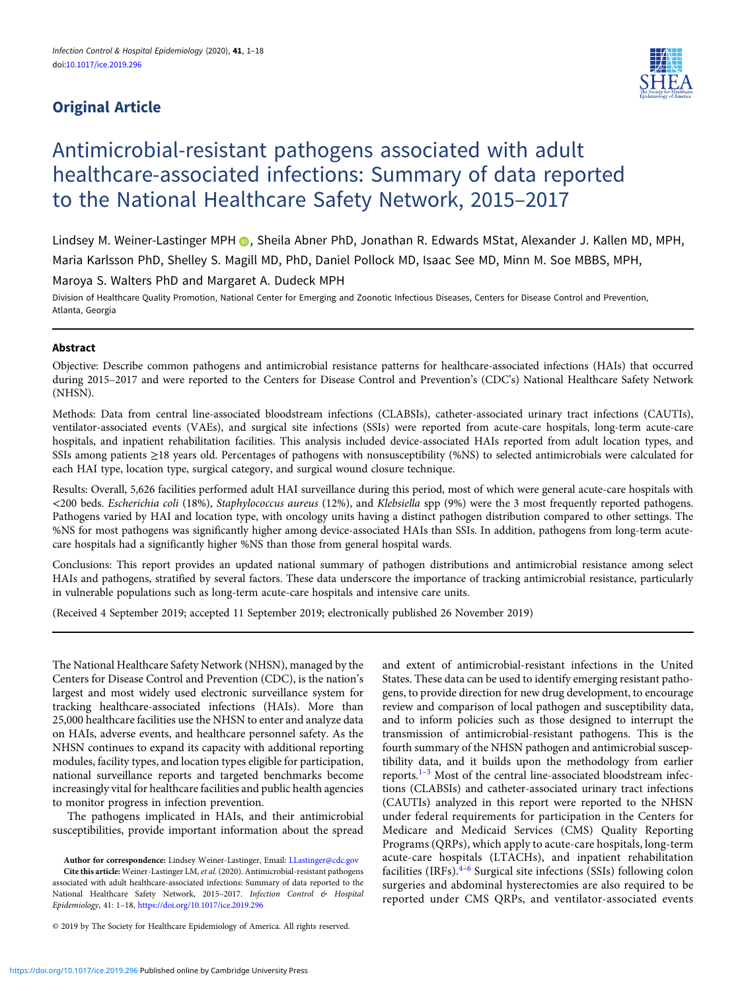# Original Article



# Antimicrobial-resistant pathogens associated with adult healthcare-associated infections: Summary of data reported to the National Healthcare Safety Network, 2015–2017

Lindsey M. Weiner-Lastinger MPH **D**. Sheila Abner PhD, Jonathan R. Edwards MStat, Alexander J. Kallen MD, MPH, Maria Karlsson PhD, Shelley S. Magill MD, PhD, Daniel Pollock MD, Isaac See MD, Minn M. Soe MBBS, MPH,

Maroya S. Walters PhD and Margaret A. Dudeck MPH

Division of Healthcare Quality Promotion, National Center for Emerging and Zoonotic Infectious Diseases, Centers for Disease Control and Prevention, Atlanta, Georgia

# Abstract

Objective: Describe common pathogens and antimicrobial resistance patterns for healthcare-associated infections (HAIs) that occurred during 2015–2017 and were reported to the Centers for Disease Control and Prevention's (CDC's) National Healthcare Safety Network (NHSN).

Methods: Data from central line-associated bloodstream infections (CLABSIs), catheter-associated urinary tract infections (CAUTIs), ventilator-associated events (VAEs), and surgical site infections (SSIs) were reported from acute-care hospitals, long-term acute-care hospitals, and inpatient rehabilitation facilities. This analysis included device-associated HAIs reported from adult location types, and SSIs among patients ≥18 years old. Percentages of pathogens with nonsusceptibility (%NS) to selected antimicrobials were calculated for each HAI type, location type, surgical category, and surgical wound closure technique.

Results: Overall, 5,626 facilities performed adult HAI surveillance during this period, most of which were general acute-care hospitals with <200 beds. Escherichia coli (18%), Staphylococcus aureus (12%), and Klebsiella spp (9%) were the 3 most frequently reported pathogens. Pathogens varied by HAI and location type, with oncology units having a distinct pathogen distribution compared to other settings. The %NS for most pathogens was significantly higher among device-associated HAIs than SSIs. In addition, pathogens from long-term acutecare hospitals had a significantly higher %NS than those from general hospital wards.

Conclusions: This report provides an updated national summary of pathogen distributions and antimicrobial resistance among select HAIs and pathogens, stratified by several factors. These data underscore the importance of tracking antimicrobial resistance, particularly in vulnerable populations such as long-term acute-care hospitals and intensive care units.

(Received 4 September 2019; accepted 11 September 2019; electronically published 26 November 2019)

The National Healthcare Safety Network (NHSN), managed by the Centers for Disease Control and Prevention (CDC), is the nation's largest and most widely used electronic surveillance system for tracking healthcare-associated infections (HAIs). More than 25,000 healthcare facilities use the NHSN to enter and analyze data on HAIs, adverse events, and healthcare personnel safety. As the NHSN continues to expand its capacity with additional reporting modules, facility types, and location types eligible for participation, national surveillance reports and targeted benchmarks become increasingly vital for healthcare facilities and public health agencies to monitor progress in infection prevention.

The pathogens implicated in HAIs, and their antimicrobial susceptibilities, provide important information about the spread

Author for correspondence: Lindsey Weiner-Lastinger, Email: [LLastinger@cdc.gov](mailto:LLastinger@cdc.gov) Cite this article: Weiner-Lastinger LM, et al. (2020). Antimicrobial-resistant pathogens associated with adult healthcare-associated infections: Summary of data reported to the National Healthcare Safety Network, 2015-2017. Infection Control & Hospital Epidemiology, 41: 1–18, <https://doi.org/10.1017/ice.2019.296>

© 2019 by The Society for Healthcare Epidemiology of America. All rights reserved.

and extent of antimicrobial-resistant infections in the United States. These data can be used to identify emerging resistant pathogens, to provide direction for new drug development, to encourage review and comparison of local pathogen and susceptibility data, and to inform policies such as those designed to interrupt the transmission of antimicrobial-resistant pathogens. This is the fourth summary of the NHSN pathogen and antimicrobial susceptibility data, and it builds upon the methodology from earlier reports.[1](#page-14-0)–[3](#page-14-0) Most of the central line-associated bloodstream infections (CLABSIs) and catheter-associated urinary tract infections (CAUTIs) analyzed in this report were reported to the NHSN under federal requirements for participation in the Centers for Medicare and Medicaid Services (CMS) Quality Reporting Programs (QRPs), which apply to acute-care hospitals, long-term acute-care hospitals (LTACHs), and inpatient rehabilitation facilities (IRFs). $4-6$  $4-6$  $4-6$  Surgical site infections (SSIs) following colon surgeries and abdominal hysterectomies are also required to be reported under CMS QRPs, and ventilator-associated events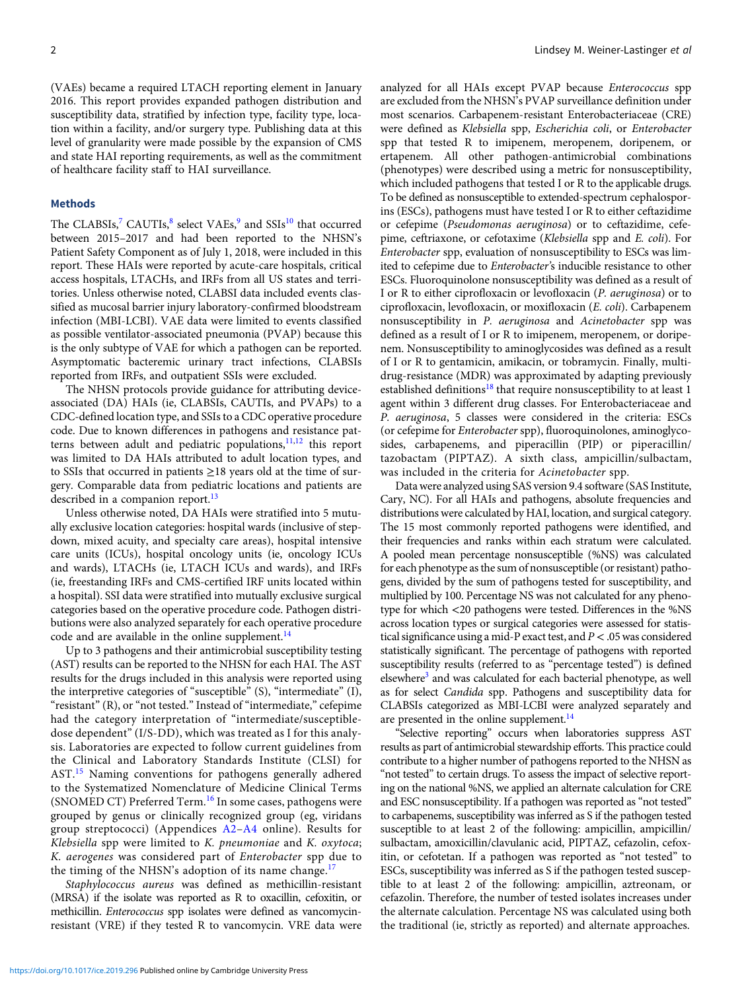(VAEs) became a required LTACH reporting element in January 2016. This report provides expanded pathogen distribution and susceptibility data, stratified by infection type, facility type, location within a facility, and/or surgery type. Publishing data at this level of granularity were made possible by the expansion of CMS and state HAI reporting requirements, as well as the commitment of healthcare facility staff to HAI surveillance.

#### Methods

The CLABSIs,<sup>[7](#page-14-0)</sup> CAUTIs,<sup>[8](#page-14-0)</sup> select VAEs,<sup>[9](#page-14-0)</sup> and SSIs<sup>[10](#page-14-0)</sup> that occurred between 2015–2017 and had been reported to the NHSN's Patient Safety Component as of July 1, 2018, were included in this report. These HAIs were reported by acute-care hospitals, critical access hospitals, LTACHs, and IRFs from all US states and territories. Unless otherwise noted, CLABSI data included events classified as mucosal barrier injury laboratory-confirmed bloodstream infection (MBI-LCBI). VAE data were limited to events classified as possible ventilator-associated pneumonia (PVAP) because this is the only subtype of VAE for which a pathogen can be reported. Asymptomatic bacteremic urinary tract infections, CLABSIs reported from IRFs, and outpatient SSIs were excluded.

The NHSN protocols provide guidance for attributing deviceassociated (DA) HAIs (ie, CLABSIs, CAUTIs, and PVAPs) to a CDC-defined location type, and SSIs to a CDC operative procedure code. Due to known differences in pathogens and resistance pat-terns between adult and pediatric populations,<sup>[11,12](#page-14-0)</sup> this report was limited to DA HAIs attributed to adult location types, and to SSIs that occurred in patients ≥18 years old at the time of surgery. Comparable data from pediatric locations and patients are described in a companion report.<sup>[13](#page-14-0)</sup>

Unless otherwise noted, DA HAIs were stratified into 5 mutually exclusive location categories: hospital wards (inclusive of stepdown, mixed acuity, and specialty care areas), hospital intensive care units (ICUs), hospital oncology units (ie, oncology ICUs and wards), LTACHs (ie, LTACH ICUs and wards), and IRFs (ie, freestanding IRFs and CMS-certified IRF units located within a hospital). SSI data were stratified into mutually exclusive surgical categories based on the operative procedure code. Pathogen distributions were also analyzed separately for each operative procedure code and are available in the online supplement. $^{14}$  $^{14}$  $^{14}$ 

Up to 3 pathogens and their antimicrobial susceptibility testing (AST) results can be reported to the NHSN for each HAI. The AST results for the drugs included in this analysis were reported using the interpretive categories of "susceptible" (S), "intermediate" (I), "resistant" (R), or "not tested." Instead of "intermediate," cefepime had the category interpretation of "intermediate/susceptibledose dependent" (I/S-DD), which was treated as I for this analysis. Laboratories are expected to follow current guidelines from the Clinical and Laboratory Standards Institute (CLSI) for AST.[15](#page-15-0) Naming conventions for pathogens generally adhered to the Systematized Nomenclature of Medicine Clinical Terms (SNOMED CT) Preferred Term.<sup>[16](#page-15-0)</sup> In some cases, pathogens were grouped by genus or clinically recognized group (eg, viridans group streptococci) (Appendices [A2](#page-16-0)–[A4](#page-17-0) online). Results for Klebsiella spp were limited to K. pneumoniae and K. oxytoca; K. aerogenes was considered part of Enterobacter spp due to the timing of the NHSN's adoption of its name change.<sup>[17](#page-15-0)</sup>

Staphylococcus aureus was defined as methicillin-resistant (MRSA) if the isolate was reported as R to oxacillin, cefoxitin, or methicillin. Enterococcus spp isolates were defined as vancomycinresistant (VRE) if they tested R to vancomycin. VRE data were analyzed for all HAIs except PVAP because Enterococcus spp are excluded from the NHSN's PVAP surveillance definition under most scenarios. Carbapenem-resistant Enterobacteriaceae (CRE) were defined as Klebsiella spp, Escherichia coli, or Enterobacter spp that tested R to imipenem, meropenem, doripenem, or ertapenem. All other pathogen-antimicrobial combinations (phenotypes) were described using a metric for nonsusceptibility, which included pathogens that tested I or R to the applicable drugs. To be defined as nonsusceptible to extended-spectrum cephalosporins (ESCs), pathogens must have tested I or R to either ceftazidime or cefepime (Pseudomonas aeruginosa) or to ceftazidime, cefepime, ceftriaxone, or cefotaxime (Klebsiella spp and E. coli). For Enterobacter spp, evaluation of nonsusceptibility to ESCs was limited to cefepime due to Enterobacter's inducible resistance to other ESCs. Fluoroquinolone nonsusceptibility was defined as a result of I or R to either ciprofloxacin or levofloxacin (P. aeruginosa) or to ciprofloxacin, levofloxacin, or moxifloxacin (E. coli). Carbapenem nonsusceptibility in P. aeruginosa and Acinetobacter spp was defined as a result of I or R to imipenem, meropenem, or doripenem. Nonsusceptibility to aminoglycosides was defined as a result of I or R to gentamicin, amikacin, or tobramycin. Finally, multidrug-resistance (MDR) was approximated by adapting previously established definitions<sup>[18](#page-15-0)</sup> that require nonsusceptibility to at least 1 agent within 3 different drug classes. For Enterobacteriaceae and P. aeruginosa, 5 classes were considered in the criteria: ESCs (or cefepime for Enterobacter spp), fluoroquinolones, aminoglycosides, carbapenems, and piperacillin (PIP) or piperacillin/ tazobactam (PIPTAZ). A sixth class, ampicillin/sulbactam, was included in the criteria for Acinetobacter spp.

Data were analyzed using SAS version 9.4 software (SAS Institute, Cary, NC). For all HAIs and pathogens, absolute frequencies and distributions were calculated by HAI, location, and surgical category. The 15 most commonly reported pathogens were identified, and their frequencies and ranks within each stratum were calculated. A pooled mean percentage nonsusceptible (%NS) was calculated for each phenotype as the sum of nonsusceptible (or resistant) pathogens, divided by the sum of pathogens tested for susceptibility, and multiplied by 100. Percentage NS was not calculated for any phenotype for which <20 pathogens were tested. Differences in the %NS across location types or surgical categories were assessed for statistical significance using a mid-P exact test, and  $P < 0.05$  was considered statistically significant. The percentage of pathogens with reported susceptibility results (referred to as "percentage tested") is defined elsewhere<sup>3</sup> and was calculated for each bacterial phenotype, as well as for select Candida spp. Pathogens and susceptibility data for CLABSIs categorized as MBI-LCBI were analyzed separately and are presented in the online supplement.<sup>14</sup>

"Selective reporting" occurs when laboratories suppress AST results as part of antimicrobial stewardship efforts. This practice could contribute to a higher number of pathogens reported to the NHSN as "not tested" to certain drugs. To assess the impact of selective reporting on the national %NS, we applied an alternate calculation for CRE and ESC nonsusceptibility. If a pathogen was reported as "not tested" to carbapenems, susceptibility was inferred as S if the pathogen tested susceptible to at least 2 of the following: ampicillin, ampicillin/ sulbactam, amoxicillin/clavulanic acid, PIPTAZ, cefazolin, cefoxitin, or cefotetan. If a pathogen was reported as "not tested" to ESCs, susceptibility was inferred as S if the pathogen tested susceptible to at least 2 of the following: ampicillin, aztreonam, or cefazolin. Therefore, the number of tested isolates increases under the alternate calculation. Percentage NS was calculated using both the traditional (ie, strictly as reported) and alternate approaches.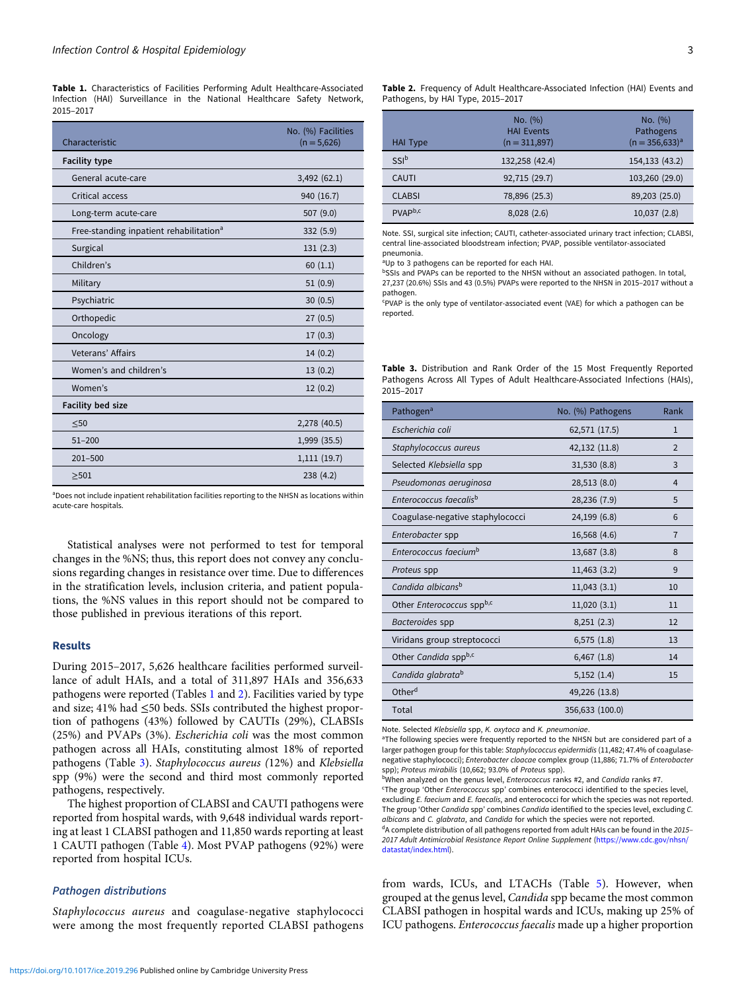Table 1. Characteristics of Facilities Performing Adult Healthcare-Associated Infection (HAI) Surveillance in the National Healthcare Safety Network, 2015–2017

| Characteristic                                      | No. (%) Facilities<br>$(n = 5,626)$ |
|-----------------------------------------------------|-------------------------------------|
| <b>Facility type</b>                                |                                     |
| General acute-care                                  | 3,492(62.1)                         |
| Critical access                                     | 940 (16.7)                          |
| Long-term acute-care                                | 507 (9.0)                           |
| Free-standing inpatient rehabilitation <sup>a</sup> | 332 (5.9)                           |
| Surgical                                            | 131(2.3)                            |
| Children's                                          | 60(1.1)                             |
| Military                                            | 51(0.9)                             |
| Psychiatric                                         | 30(0.5)                             |
| Orthopedic                                          | 27(0.5)                             |
| Oncology                                            | 17(0.3)                             |
| Veterans' Affairs                                   | 14(0.2)                             |
| Women's and children's                              | 13(0.2)                             |
| Women's                                             | 12(0.2)                             |
| <b>Facility bed size</b>                            |                                     |
| $50$                                                | 2,278 (40.5)                        |
| $51 - 200$                                          | 1,999 (35.5)                        |
| $201 - 500$                                         | 1,111(19.7)                         |
| >501                                                | 238(4.2)                            |

aDoes not include inpatient rehabilitation facilities reporting to the NHSN as locations within acute-care hospitals.

Statistical analyses were not performed to test for temporal changes in the %NS; thus, this report does not convey any conclusions regarding changes in resistance over time. Due to differences in the stratification levels, inclusion criteria, and patient populations, the %NS values in this report should not be compared to those published in previous iterations of this report.

#### Results

During 2015–2017, 5,626 healthcare facilities performed surveillance of adult HAIs, and a total of 311,897 HAIs and 356,633 pathogens were reported (Tables 1 and 2). Facilities varied by type and size; 41% had ≤50 beds. SSIs contributed the highest proportion of pathogens (43%) followed by CAUTIs (29%), CLABSIs (25%) and PVAPs (3%). Escherichia coli was the most common pathogen across all HAIs, constituting almost 18% of reported pathogens (Table 3). Staphylococcus aureus (12%) and Klebsiella spp (9%) were the second and third most commonly reported pathogens, respectively.

The highest proportion of CLABSI and CAUTI pathogens were reported from hospital wards, with 9,648 individual wards reporting at least 1 CLABSI pathogen and 11,850 wards reporting at least 1 CAUTI pathogen (Table [4\)](#page-3-0). Most PVAP pathogens (92%) were reported from hospital ICUs.

#### Pathogen distributions

Staphylococcus aureus and coagulase-negative staphylococci were among the most frequently reported CLABSI pathogens Table 2. Frequency of Adult Healthcare-Associated Infection (HAI) Events and Pathogens, by HAI Type, 2015–2017

| HAI Type            | No. (%)<br><b>HAI Events</b><br>$(n = 311,897)$ | No. (%)<br>Pathogens<br>$(n = 356,633)^{a}$ |
|---------------------|-------------------------------------------------|---------------------------------------------|
| SSI <sup>b</sup>    | 132,258 (42.4)                                  | 154,133 (43.2)                              |
| CAUTI               | 92,715 (29.7)                                   | 103,260 (29.0)                              |
| <b>CLABSI</b>       | 78,896 (25.3)                                   | 89,203 (25.0)                               |
| PVAP <sup>b,c</sup> | 8,028(2.6)                                      | 10,037(2.8)                                 |

Note. SSI, surgical site infection; CAUTI, catheter-associated urinary tract infection; CLABSI, central line-associated bloodstream infection; PVAP, possible ventilator-associated pneumonia.

<sup>a</sup>Up to 3 pathogens can be reported for each HAI.

bSSIs and PVAPs can be reported to the NHSN without an associated pathogen. In total, 27,237 (20.6%) SSIs and 43 (0.5%) PVAPs were reported to the NHSN in 2015–2017 without a pathogen.

c PVAP is the only type of ventilator-associated event (VAE) for which a pathogen can be reported.

Table 3. Distribution and Rank Order of the 15 Most Frequently Reported Pathogens Across All Types of Adult Healthcare-Associated Infections (HAIs), 2015–2017

| Pathogen <sup>a</sup>              | No. (%) Pathogens | Rank           |
|------------------------------------|-------------------|----------------|
| Escherichia coli                   | 62,571 (17.5)     | $\mathbf{1}$   |
| Staphylococcus aureus              | 42,132 (11.8)     | $\mathcal{P}$  |
| Selected Klebsiella spp            | 31,530 (8.8)      | 3              |
| Pseudomonas aeruginosa             | 28,513 (8.0)      | $\overline{4}$ |
| Enterococcus faecalis <sup>b</sup> | 28,236 (7.9)      | 5              |
| Coagulase-negative staphylococci   | 24,199 (6.8)      | 6              |
| Enterobacter spp                   | 16,568 (4.6)      | 7              |
| Enterococcus faecium <sup>b</sup>  | 13,687 (3.8)      | 8              |
| Proteus spp                        | 11,463 (3.2)      | 9              |
| Candida albicans <sup>b</sup>      | 11,043(3.1)       | 10             |
| Other Enterococcus sppb,c          | 11,020(3.1)       | 11             |
| Bacteroides spp                    | 8,251(2.3)        | 12             |
| Viridans group streptococci        | 6,575(1.8)        | 13             |
| Other Candida sppb,c               | $6,467$ $(1.8)$   | 14             |
| Candida glabrata <sup>b</sup>      | 5,152(1.4)        | 15             |
| Other <sup>d</sup>                 | 49,226 (13.8)     |                |
| Total                              | 356,633 (100.0)   |                |

Note. Selected Klebsiella spp, K. oxytoca and K. pneumoniae.

<sup>a</sup>The following species were frequently reported to the NHSN but are considered part of a larger pathogen group for this table: Staphylococcus epidermidis (11,482; 47.4% of coagulasenegative staphylococci); Enterobacter cloacae complex group (11,886; 71.7% of Enterobacter spp); Proteus mirabilis (10,662; 93.0% of Proteus spp).

bWhen analyzed on the genus level, *Enterococcus* ranks #2, and *Candida* ranks #7.

<sup>c</sup>The group 'Other Enterococcus spp' combines enterococci identified to the species level, excluding E. faecium and E. faecalis, and enterococci for which the species was not reported. The group 'Other Candida spp' combines Candida identified to the species level, excluding C. albicans and C. glabrata, and Candida for which the species were not reported.  $dA$  complete distribution of all pathogens reported from adult HAIs can be found in the 2015–

2017 Adult Antimicrobial Resistance Report Online Supplement [\(https://www.cdc.gov/nhsn/](https://www.cdc.gov/nhsn/datastat/index.html) [datastat/index.html\)](https://www.cdc.gov/nhsn/datastat/index.html).

from wards, ICUs, and LTACHs (Table [5\)](#page-3-0). However, when grouped at the genus level, Candida spp became the most common CLABSI pathogen in hospital wards and ICUs, making up 25% of ICU pathogens. Enterococcus faecalis made up a higher proportion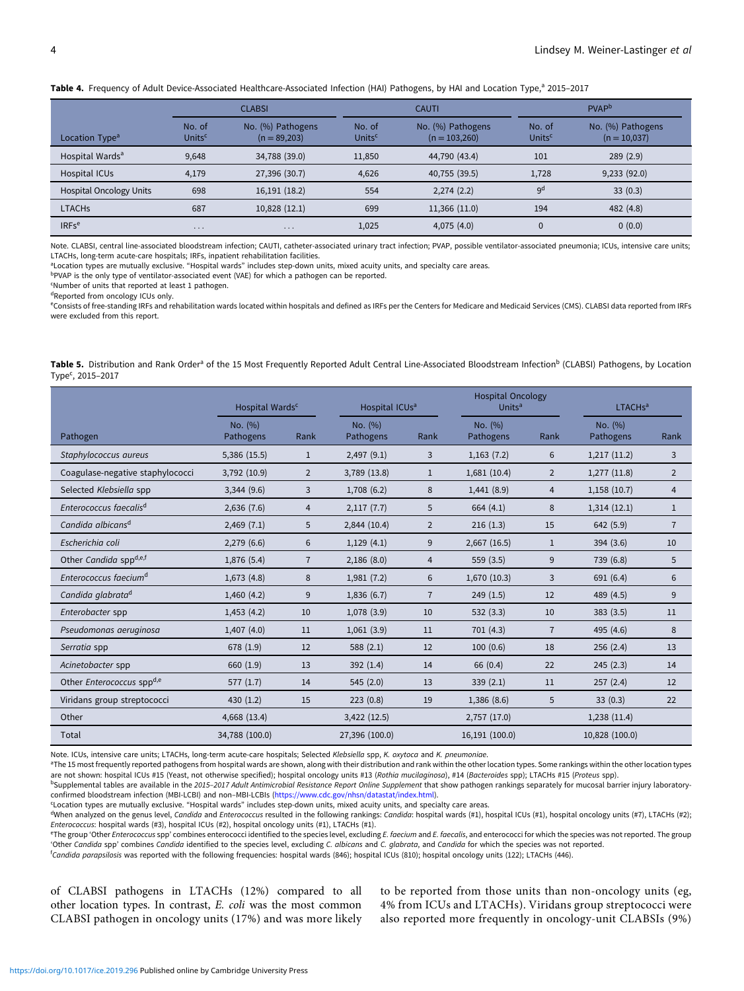<span id="page-3-0"></span>

|  |  |  |  |  |  |  | Table 4. Frequency of Adult Device-Associated Healthcare-Associated Infection (HAI) Pathogens, by HAI and Location Type, <sup>a</sup> 2015-2017 |
|--|--|--|--|--|--|--|-------------------------------------------------------------------------------------------------------------------------------------------------|
|--|--|--|--|--|--|--|-------------------------------------------------------------------------------------------------------------------------------------------------|

|                                | <b>CLABSI</b>       |                                     |                              | <b>CAUTI</b>                         |                              | <b>PVAP</b>                         |  |  |
|--------------------------------|---------------------|-------------------------------------|------------------------------|--------------------------------------|------------------------------|-------------------------------------|--|--|
| Location Type <sup>a</sup>     | No. of<br>Units $c$ | No. (%) Pathogens<br>$(n = 89,203)$ | No. of<br>Units <sup>c</sup> | No. (%) Pathogens<br>$(n = 103,260)$ | No. of<br>Units <sup>c</sup> | No. (%) Pathogens<br>$(n = 10,037)$ |  |  |
| Hospital Wards <sup>a</sup>    | 9,648               | 34,788 (39.0)                       | 11,850                       | 44,790 (43.4)                        | 101                          | 289(2.9)                            |  |  |
| Hospital ICUs                  | 4,179               | 27,396 (30.7)                       | 4,626                        | 40,755 (39.5)                        | 1,728                        | 9,233(92.0)                         |  |  |
| <b>Hospital Oncology Units</b> | 698                 | 16,191 (18.2)                       | 554                          | 2,274(2.2)                           | 9 <sup>d</sup>               | 33(0.3)                             |  |  |
| <b>LTACHS</b>                  | 687                 | 10,828 (12.1)                       | 699                          | 11,366 (11.0)                        | 194                          | 482 (4.8)                           |  |  |
| IRFs <sup>e</sup>              | $\cdots$            | $\cdots$                            | 1,025                        | 4,075(4.0)                           | $\mathbf 0$                  | 0(0.0)                              |  |  |

Note. CLABSI, central line-associated bloodstream infection; CAUTI, catheter-associated urinary tract infection; PVAP, possible ventilator-associated pneumonia; ICUs, intensive care units; LTACHs, long-term acute-care hospitals; IRFs, inpatient rehabilitation facilities.

aLocation types are mutually exclusive. "Hospital wards" includes step-down units, mixed acuity units, and specialty care areas.

bPVAP is the only type of ventilator-associated event (VAE) for which a pathogen can be reported.

c Number of units that reported at least 1 pathogen.

dReported from oncology ICUs only.

e Consists of free-standing IRFs and rehabilitation wards located within hospitals and defined as IRFs per the Centers for Medicare and Medicaid Services (CMS). CLABSI data reported from IRFs were excluded from this report.

| Table 5. Distribution and Rank Order <sup>a</sup> of the 15 Most Frequently Reported Adult Central Line-Associated Bloodstream Infection <sup>b</sup> (CLABSI) Pathogens, by Location |  |  |  |  |  |  |
|---------------------------------------------------------------------------------------------------------------------------------------------------------------------------------------|--|--|--|--|--|--|
| Type <sup>c</sup> , 2015-2017                                                                                                                                                         |  |  |  |  |  |  |

|                                              | Hospital Wards <sup>c</sup> |                | Hospital ICUs <sup>a</sup> |                | <b>Hospital Oncology</b><br><b>Units<sup>a</sup></b> |                | LTACH <sub>sa</sub>  |                |
|----------------------------------------------|-----------------------------|----------------|----------------------------|----------------|------------------------------------------------------|----------------|----------------------|----------------|
| Pathogen                                     | No. (%)<br>Pathogens        | Rank           | No. (%)<br>Pathogens       | Rank           | No. (%)<br>Pathogens                                 | Rank           | No. (%)<br>Pathogens | Rank           |
| Staphylococcus aureus                        | 5,386 (15.5)                | $\mathbf{1}$   | 2,497(9.1)                 | 3              | 1,163(7.2)                                           | 6              | 1,217(11.2)          | 3              |
| Coagulase-negative staphylococci             | 3,792 (10.9)                | $\overline{2}$ | 3,789 (13.8)               | $\mathbf{1}$   | 1,681(10.4)                                          | 2              | 1,277(11.8)          | 2              |
| Selected Klebsiella spp                      | 3,344(9.6)                  | 3              | 1,708(6.2)                 | 8              | 1,441(8.9)                                           | 4              | 1,158(10.7)          | $\overline{4}$ |
| Enterococcus faecalis <sup>d</sup>           | 2,636(7.6)                  | $\overline{4}$ | 2,117(7.7)                 | 5              | 664(4.1)                                             | 8              | 1,314(12.1)          | $\mathbf{1}$   |
| Candida albicans <sup>d</sup>                | 2,469(7.1)                  | 5              | 2,844 (10.4)               | $\overline{2}$ | 216(1.3)                                             | 15             | 642 (5.9)            | $\overline{7}$ |
| Escherichia coli                             | 2,279(6.6)                  | 6              | 1,129(4.1)                 | 9              | $2,667$ (16.5)                                       | $\mathbf{1}$   | 394(3.6)             | 10             |
| Other Candida sppd,e,f                       | 1,876 (5.4)                 | $\overline{7}$ | 2,186(8.0)                 | 4              | 559(3.5)                                             | 9              | 739 (6.8)            | 5              |
| Enterococcus faecium <sup>d</sup>            | 1,673(4.8)                  | 8              | 1,981(7.2)                 | 6              | 1,670(10.3)                                          | 3              | 691 (6.4)            | 6              |
| Candida glabrata <sup>d</sup>                | 1,460(4.2)                  | 9              | 1,836(6.7)                 | $\overline{7}$ | 249(1.5)                                             | 12             | 489 (4.5)            | 9              |
| Enterobacter spp                             | 1,453(4.2)                  | 10             | 1,078(3.9)                 | 10             | 532(3.3)                                             | 10             | 383(3.5)             | 11             |
| Pseudomonas aeruginosa                       | 1,407(4.0)                  | 11             | 1,061(3.9)                 | 11             | 701(4.3)                                             | $\overline{7}$ | 495 (4.6)            | 8              |
| Serratia spp                                 | 678 (1.9)                   | 12             | 588(2.1)                   | 12             | 100(0.6)                                             | 18             | 256(2.4)             | 13             |
| Acinetobacter spp                            | 660 (1.9)                   | 13             | 392 $(1.4)$                | 14             | 66 (0.4)                                             | 22             | 245(2.3)             | 14             |
| Other <i>Enterococcus</i> spp <sup>d,e</sup> | 577(1.7)                    | 14             | 545(2.0)                   | 13             | 339(2.1)                                             | 11             | 257(2.4)             | 12             |
| Viridans group streptococci                  | 430(1.2)                    | 15             | 223(0.8)                   | 19             | 1,386(8.6)                                           | 5              | 33(0.3)              | 22             |
| Other                                        | 4,668 (13.4)                |                | 3,422 (12.5)               |                | 2,757 (17.0)                                         |                | 1,238(11.4)          |                |
| Total                                        | 34,788 (100.0)              |                | 27,396 (100.0)             |                | 16,191 (100.0)                                       |                | 10,828 (100.0)       |                |

Note. ICUs, intensive care units; LTACHs, long-term acute-care hospitals; Selected Klebsiella spp, K. oxytoca and K. pneumoniae.

<sup>a</sup>The 15 most frequently reported pathogens from hospital wards are shown, along with their distribution and rank within the other location types. Some rankings within the other location types are not shown: hospital ICUs #15 (Yeast, not otherwise specified); hospital oncology units #13 (Rothia mucilaginosa), #14 (Bacteroides spp); LTACHs #15 (Proteus spp).

bSupplemental tables are available in the 2015-2017 Adult Antimicrobial Resistance Report Online Supplement that show pathogen rankings separately for mucosal barrier injury laboratoryconfirmed bloodstream infection (MBI-LCBI) and non–MBI-LCBIs ([https://www.cdc.gov/nhsn/datastat/index.html\)](https://www.cdc.gov/nhsn/datastat/index.html).

c Location types are mutually exclusive. "Hospital wards" includes step-down units, mixed acuity units, and specialty care areas.

<sup>d</sup>When analyzed on the genus level, Candida and Enterococcus resulted in the following rankings: Candida: hospital wards (#1), hospital ICUs (#1), hospital oncology units (#7), LTACHs (#2); Enterococcus: hospital wards (#3), hospital ICUs (#2), hospital oncology units (#1), LTACHs (#1).

<sup>e</sup>The group 'Other Enterococcus spp' combines enterococci identified to the species level, excluding E. faecium and E. faecalis, and enterococci for which the species was not reported. The group 'Other Candida spp' combines Candida identified to the species level, excluding C. albicans and C. glabrata, and Candida for which the species was not reported.

<sup>f</sup>Candida parapsilosis was reported with the following frequencies: hospital wards (846); hospital LCUs (810); hospital oncology units (122); LTACHs (446).

of CLABSI pathogens in LTACHs (12%) compared to all other location types. In contrast, E. coli was the most common CLABSI pathogen in oncology units (17%) and was more likely to be reported from those units than non-oncology units (eg, 4% from ICUs and LTACHs). Viridans group streptococci were also reported more frequently in oncology-unit CLABSIs (9%)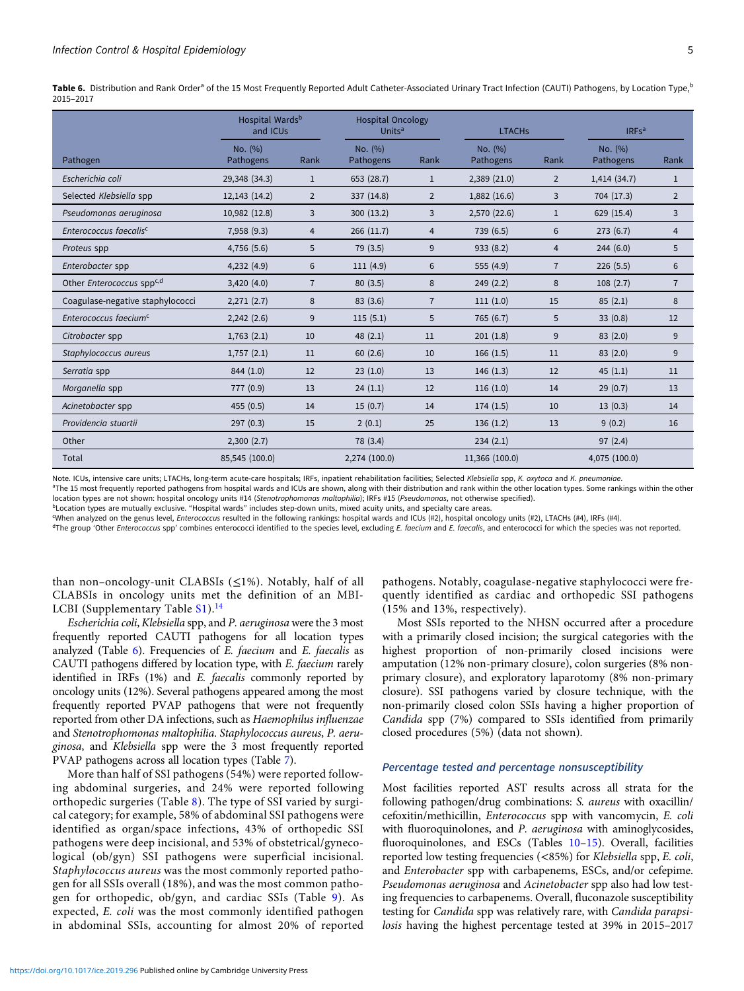Table 6. Distribution and Rank Order<sup>a</sup> of the 15 Most Frequently Reported Adult Catheter-Associated Urinary Tract Infection (CAUTI) Pathogens, by Location Type,<sup>b</sup> 2015–2017

|                                    | Hospital Wards <sup>b</sup><br>and ICUs | <b>Hospital Oncology</b><br>Units <sup>a</sup> |                             | <b>LTACHS</b>  |                      | IRFs <sup>a</sup> |                      |                |
|------------------------------------|-----------------------------------------|------------------------------------------------|-----------------------------|----------------|----------------------|-------------------|----------------------|----------------|
| Pathogen                           | No. (%)<br>Pathogens                    | Rank                                           | No. (%)<br><b>Pathogens</b> | Rank           | No. (%)<br>Pathogens | Rank              | No. (%)<br>Pathogens | Rank           |
| Escherichia coli                   | 29,348 (34.3)                           | $\mathbf{1}$                                   | 653 (28.7)                  | $\mathbf{1}$   | 2,389(21.0)          | 2                 | 1,414 (34.7)         | $\mathbf{1}$   |
| Selected Klebsiella spp            | 12,143 (14.2)                           | $\overline{2}$                                 | 337 (14.8)                  | $\overline{2}$ | 1,882 (16.6)         | 3                 | 704 (17.3)           | $\overline{2}$ |
| Pseudomonas aeruginosa             | 10,982 (12.8)                           | 3                                              | 300 (13.2)                  | 3              | 2,570 (22.6)         | $\mathbf{1}$      | 629 (15.4)           | 3              |
| Enterococcus faecalis <sup>c</sup> | 7,958(9.3)                              | $\overline{4}$                                 | 266(11.7)                   | $\overline{4}$ | 739 (6.5)            | 6                 | 273(6.7)             | $\overline{4}$ |
| Proteus spp                        | 4,756 (5.6)                             | 5                                              | 79 (3.5)                    | 9              | 933 (8.2)            | $\overline{4}$    | 244(6.0)             | 5              |
| Enterobacter spp                   | 4,232(4.9)                              | 6                                              | 111(4.9)                    | 6              | 555 (4.9)            | $\overline{7}$    | 226(5.5)             | 6              |
| Other Enterococcus sppc,d          | 3,420(4.0)                              | $\overline{7}$                                 | 80(3.5)                     | 8              | 249(2.2)             | 8                 | 108(2.7)             | $\overline{7}$ |
| Coagulase-negative staphylococci   | 2,271(2.7)                              | 8                                              | 83 (3.6)                    | $\overline{7}$ | 111(1.0)             | 15                | 85(2.1)              | 8              |
| Enterococcus faecium <sup>c</sup>  | 2,242(2.6)                              | 9                                              | 115(5.1)                    | 5              | 765 (6.7)            | 5                 | 33(0.8)              | 12             |
| Citrobacter spp                    | 1,763(2.1)                              | 10                                             | 48(2.1)                     | 11             | 201(1.8)             | 9                 | 83(2.0)              | 9              |
| Staphylococcus aureus              | 1,757(2.1)                              | 11                                             | 60(2.6)                     | 10             | 166(1.5)             | 11                | 83(2.0)              | 9              |
| Serratia spp                       | 844 (1.0)                               | 12                                             | 23(1.0)                     | 13             | 146(1.3)             | 12                | 45(1.1)              | 11             |
| Morganella spp                     | 777 (0.9)                               | 13                                             | 24(1.1)                     | 12             | 116(1.0)             | 14                | 29(0.7)              | 13             |
| Acinetobacter spp                  | 455 (0.5)                               | 14                                             | 15(0.7)                     | 14             | 174(1.5)             | 10                | 13(0.3)              | 14             |
| Providencia stuartii               | 297(0.3)                                | 15                                             | 2(0.1)                      | 25             | 136(1.2)             | 13                | 9(0.2)               | 16             |
| Other                              | 2,300(2.7)                              |                                                | 78 (3.4)                    |                | 234(2.1)             |                   | 97(2.4)              |                |
| Total                              | 85,545 (100.0)                          |                                                | 2,274 (100.0)               |                | 11,366 (100.0)       |                   | 4,075 (100.0)        |                |

Note. ICUs, intensive care units; LTACHs, long-term acute-care hospitals; IRFs, inpatient rehabilitation facilities; Selected Klebsiella spp, K. oxytoca and K. pneumoniae.

<sup>a</sup>The 15 most frequently reported pathogens from hospital wards and ICUs are shown, along with their distribution and rank within the other location types. Some rankings within the other location types are not shown: hospital oncology units #14 (Stenotrophomonas maltophilia); IRFs #15 (Pseudomonas, not otherwise specified).

bLocation types are mutually exclusive. "Hospital wards" includes step-down units, mixed acuity units, and specialty care areas.

c When analyzed on the genus level, Enterococcus resulted in the following rankings: hospital wards and ICUs (#2), hospital oncology units (#2), LTACHs (#4), IRFs (#4).

<sup>d</sup>The group 'Other Enterococcus spp' combines enterococci identified to the species level, excluding E. faecium and E. faecalis, and enterococci for which the species was not reported.

than non–oncology-unit CLABSIs  $(\leq 1\%)$ . Notably, half of all CLABSIs in oncology units met the definition of an MBI-LCBI (Supplementary Table  $S1$ ).<sup>[14](#page-14-0)</sup>

Escherichia coli, Klebsiella spp, and P. aeruginosa were the 3 most frequently reported CAUTI pathogens for all location types analyzed (Table  $6$ ). Frequencies of E. faecium and E. faecalis as CAUTI pathogens differed by location type, with E. faecium rarely identified in IRFs (1%) and E. faecalis commonly reported by oncology units (12%). Several pathogens appeared among the most frequently reported PVAP pathogens that were not frequently reported from other DA infections, such as Haemophilus influenzae and Stenotrophomonas maltophilia. Staphylococcus aureus, P. aeruginosa, and Klebsiella spp were the 3 most frequently reported PVAP pathogens across all location types (Table [7\)](#page-5-0).

More than half of SSI pathogens (54%) were reported following abdominal surgeries, and 24% were reported following orthopedic surgeries (Table [8](#page-6-0)). The type of SSI varied by surgical category; for example, 58% of abdominal SSI pathogens were identified as organ/space infections, 43% of orthopedic SSI pathogens were deep incisional, and 53% of obstetrical/gynecological (ob/gyn) SSI pathogens were superficial incisional. Staphylococcus aureus was the most commonly reported pathogen for all SSIs overall (18%), and was the most common pathogen for orthopedic, ob/gyn, and cardiac SSIs (Table [9](#page-7-0)). As expected, E. coli was the most commonly identified pathogen in abdominal SSIs, accounting for almost 20% of reported pathogens. Notably, coagulase-negative staphylococci were frequently identified as cardiac and orthopedic SSI pathogens (15% and 13%, respectively).

Most SSIs reported to the NHSN occurred after a procedure with a primarily closed incision; the surgical categories with the highest proportion of non-primarily closed incisions were amputation (12% non-primary closure), colon surgeries (8% nonprimary closure), and exploratory laparotomy (8% non-primary closure). SSI pathogens varied by closure technique, with the non-primarily closed colon SSIs having a higher proportion of Candida spp (7%) compared to SSIs identified from primarily closed procedures (5%) (data not shown).

#### Percentage tested and percentage nonsusceptibility

Most facilities reported AST results across all strata for the following pathogen/drug combinations: S. aureus with oxacillin/ cefoxitin/methicillin, Enterococcus spp with vancomycin, E. coli with fluoroquinolones, and P. aeruginosa with aminoglycosides, fluoroquinolones, and ESCs (Tables [10](#page-8-0)–[15](#page-13-0)). Overall, facilities reported low testing frequencies (<85%) for Klebsiella spp, E. coli, and Enterobacter spp with carbapenems, ESCs, and/or cefepime. Pseudomonas aeruginosa and Acinetobacter spp also had low testing frequencies to carbapenems. Overall, fluconazole susceptibility testing for Candida spp was relatively rare, with Candida parapsilosis having the highest percentage tested at 39% in 2015–2017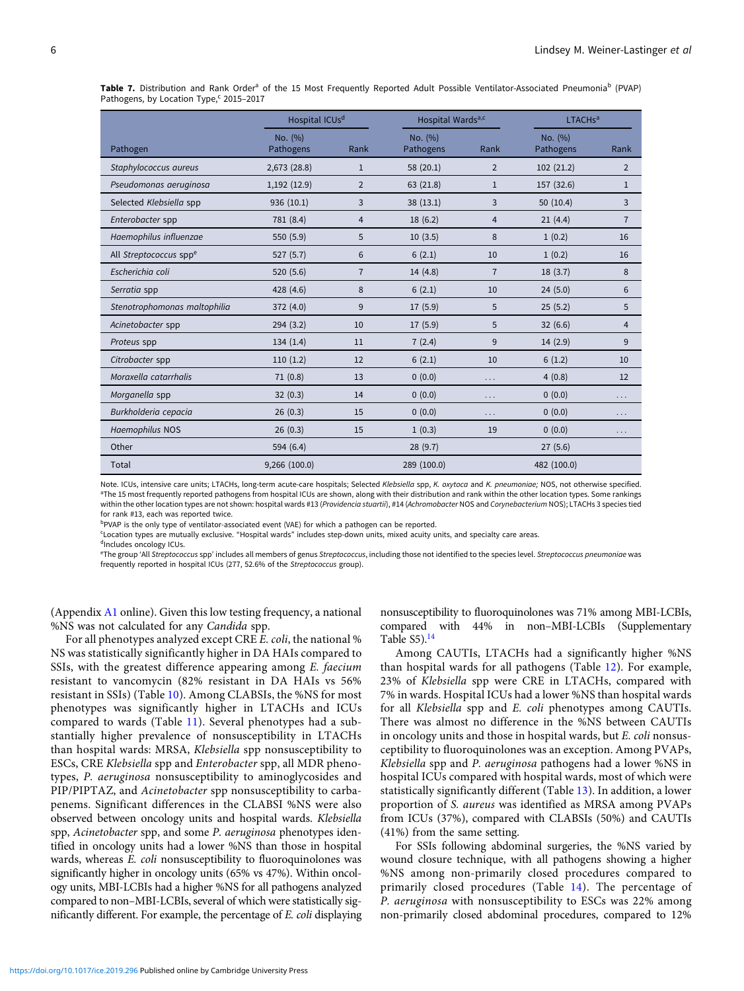<span id="page-5-0"></span>Table 7. Distribution and Rank Order<sup>a</sup> of the 15 Most Frequently Reported Adult Possible Ventilator-Associated Pneumonia<sup>b</sup> (PVAP) Pathogens, by Location Type,<sup>c</sup> 2015-2017

|                                    | Hospital ICUs <sup>d</sup> |                | Hospital Wards <sup>a,c</sup> |                | <b>LTACHs<sup>a</sup></b> |                |  |
|------------------------------------|----------------------------|----------------|-------------------------------|----------------|---------------------------|----------------|--|
| Pathogen                           | No. (%)<br>Pathogens       | Rank           | No. (%)<br>Pathogens          | Rank           | No. (%)<br>Pathogens      | Rank           |  |
| Staphylococcus aureus              | 2,673 (28.8)               | $\mathbf{1}$   | 58 (20.1)                     | $\overline{2}$ | 102(21.2)                 | 2              |  |
| Pseudomonas aeruginosa             | 1,192(12.9)                | $\overline{2}$ | 63 (21.8)                     | $\mathbf{1}$   | 157 (32.6)                | $\mathbf{1}$   |  |
| Selected Klebsiella spp            | 936 (10.1)                 | 3              | 38(13.1)                      | 3              | 50(10.4)                  | 3              |  |
| Enterobacter spp                   | 781 (8.4)                  | $\overline{4}$ | 18(6.2)                       | $\overline{4}$ | 21(4.4)                   | $\overline{7}$ |  |
| Haemophilus influenzae             | 550 (5.9)                  | 5              | 10(3.5)                       | 8              | 1(0.2)                    | 16             |  |
| All Streptococcus spp <sup>e</sup> | 527(5.7)                   | 6              | 6(2.1)                        | 10             | 1(0.2)                    | 16             |  |
| Escherichia coli                   | 520(5.6)                   | $\overline{7}$ | 14(4.8)                       | $\overline{7}$ | 18(3.7)                   | 8              |  |
| Serratia spp                       | 428 (4.6)                  | 8              | 6(2.1)                        | 10             | 24(5.0)                   | 6              |  |
| Stenotrophomonas maltophilia       | 372 (4.0)                  | 9              | 17(5.9)                       | 5              | 25(5.2)                   | 5              |  |
| Acinetobacter spp                  | 294(3.2)                   | 10             | 17(5.9)                       | 5              | 32(6.6)                   | $\overline{4}$ |  |
| Proteus spp                        | 134(1.4)                   | 11             | 7(2.4)                        | 9              | 14(2.9)                   | 9              |  |
| Citrobacter spp                    | 110(1.2)                   | 12             | 6(2.1)                        | 10             | 6(1.2)                    | 10             |  |
| Moraxella catarrhalis              | 71(0.8)                    | 13             | 0(0.0)                        | .              | 4(0.8)                    | 12             |  |
| Morganella spp                     | 32(0.3)                    | 14             | 0(0.0)                        | $\cdots$       | 0(0.0)                    | .              |  |
| Burkholderia cepacia               | 26(0.3)                    | 15             | 0(0.0)                        | .              | 0(0.0)                    | .              |  |
| Haemophilus NOS                    | 26(0.3)                    | 15             | 1(0.3)                        | 19             | 0(0.0)                    | .              |  |
| Other                              | 594 (6.4)                  |                | 28(9.7)                       |                | 27(5.6)                   |                |  |
| Total                              | 9,266 (100.0)              |                | 289 (100.0)                   |                | 482 (100.0)               |                |  |

Note. ICUs, intensive care units; LTACHs, long-term acute-care hospitals; Selected Klebsiella spp, K. oxytoca and K. pneumoniae; NOS, not otherwise specified. <sup>a</sup>The 15 most frequently reported pathogens from hospital ICUs are shown, along with their distribution and rank within the other location types. Some rankings within the other location types are not shown: hospital wards #13 (Providencia stuartii), #14 (Achromobacter NOS and Corynebacterium NOS); LTACHs 3 species tied for rank #13, each was reported twice.

bPVAP is the only type of ventilator-associated event (VAE) for which a pathogen can be reported.

c Location types are mutually exclusive. "Hospital wards" includes step-down units, mixed acuity units, and specialty care areas.

dIncludes oncology ICUs.

<sup>e</sup>The group 'All Streptococcus spp' includes all members of genus Streptococcus, including those not identified to the species level. Streptococcus pneumoniae was frequently reported in hospital ICUs (277, 52.6% of the Streptococcus group).

(Appendix [A1](#page-16-0) online). Given this low testing frequency, a national %NS was not calculated for any Candida spp.

For all phenotypes analyzed except CRE E. coli, the national % NS was statistically significantly higher in DA HAIs compared to SSIs, with the greatest difference appearing among E. faecium resistant to vancomycin (82% resistant in DA HAIs vs 56% resistant in SSIs) (Table [10](#page-8-0)). Among CLABSIs, the %NS for most phenotypes was significantly higher in LTACHs and ICUs compared to wards (Table [11\)](#page-9-0). Several phenotypes had a substantially higher prevalence of nonsusceptibility in LTACHs than hospital wards: MRSA, Klebsiella spp nonsusceptibility to ESCs, CRE Klebsiella spp and Enterobacter spp, all MDR phenotypes, P. aeruginosa nonsusceptibility to aminoglycosides and PIP/PIPTAZ, and Acinetobacter spp nonsusceptibility to carbapenems. Significant differences in the CLABSI %NS were also observed between oncology units and hospital wards. Klebsiella spp, Acinetobacter spp, and some P. aeruginosa phenotypes identified in oncology units had a lower %NS than those in hospital wards, whereas E. coli nonsusceptibility to fluoroquinolones was significantly higher in oncology units (65% vs 47%). Within oncology units, MBI-LCBIs had a higher %NS for all pathogens analyzed compared to non–MBI-LCBIs, several of which were statistically significantly different. For example, the percentage of E. coli displaying

nonsusceptibility to fluoroquinolones was 71% among MBI-LCBIs, compared with 44% in non–MBI-LCBIs (Supplementary Table  $S5$ ).<sup>[14](#page-14-0)</sup>

Among CAUTIs, LTACHs had a significantly higher %NS than hospital wards for all pathogens (Table [12\)](#page-10-0). For example, 23% of Klebsiella spp were CRE in LTACHs, compared with 7% in wards. Hospital ICUs had a lower %NS than hospital wards for all Klebsiella spp and E. coli phenotypes among CAUTIs. There was almost no difference in the %NS between CAUTIs in oncology units and those in hospital wards, but E. coli nonsusceptibility to fluoroquinolones was an exception. Among PVAPs, Klebsiella spp and P. aeruginosa pathogens had a lower %NS in hospital ICUs compared with hospital wards, most of which were statistically significantly different (Table [13\)](#page-11-0). In addition, a lower proportion of S. aureus was identified as MRSA among PVAPs from ICUs (37%), compared with CLABSIs (50%) and CAUTIs (41%) from the same setting.

For SSIs following abdominal surgeries, the %NS varied by wound closure technique, with all pathogens showing a higher %NS among non-primarily closed procedures compared to primarily closed procedures (Table [14](#page-12-0)). The percentage of P. aeruginosa with nonsusceptibility to ESCs was 22% among non-primarily closed abdominal procedures, compared to 12%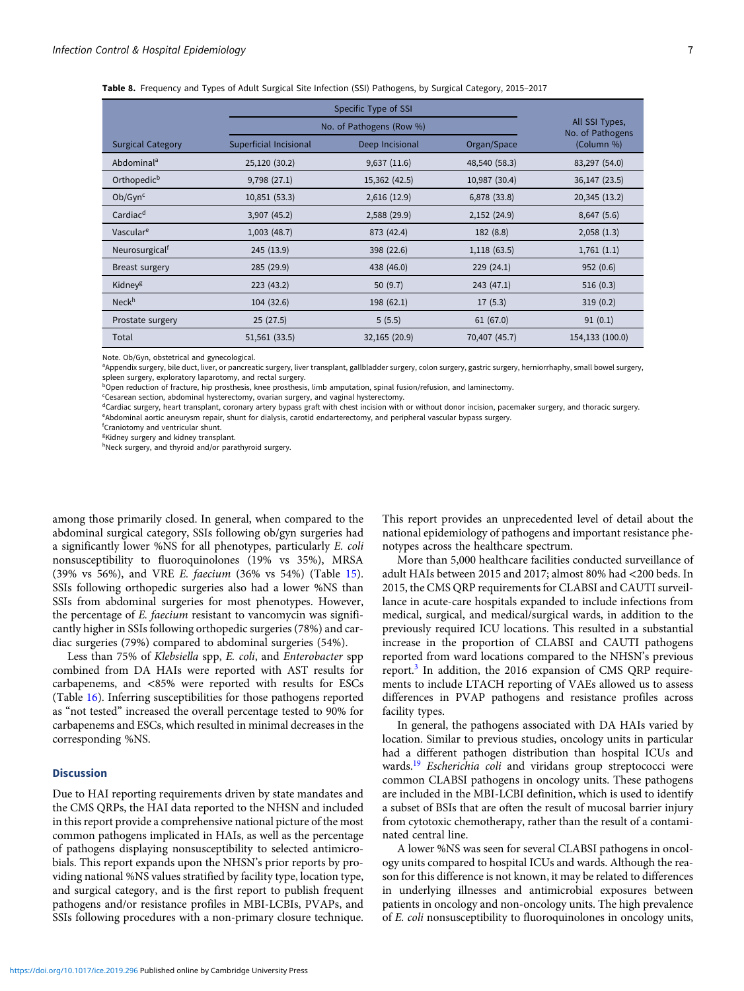<span id="page-6-0"></span>

|  |  |  |  | Table 8. Frequency and Types of Adult Surgical Site Infection (SSI) Pathogens, by Surgical Category, 2015-2017 |  |  |
|--|--|--|--|----------------------------------------------------------------------------------------------------------------|--|--|
|--|--|--|--|----------------------------------------------------------------------------------------------------------------|--|--|

|                            |                        | No. of Pathogens (Row %)       |               | All SSI Types,<br>No. of Pathogens |  |  |  |
|----------------------------|------------------------|--------------------------------|---------------|------------------------------------|--|--|--|
| <b>Surgical Category</b>   | Superficial Incisional | Deep Incisional<br>Organ/Space |               |                                    |  |  |  |
| Abdominal <sup>a</sup>     | 25,120 (30.2)          | 9,637(11.6)                    | 48,540 (58.3) | 83,297 (54.0)                      |  |  |  |
| Orthopedic <sup>b</sup>    | 9,798(27.1)            | 15,362 (42.5)                  | 10,987 (30.4) | 36,147 (23.5)                      |  |  |  |
| Ob/Gyn <sup>c</sup>        | 10,851 (53.3)          | 2,616(12.9)                    | 6,878 (33.8)  | 20,345 (13.2)                      |  |  |  |
| Cardiac <sup>d</sup>       | 3,907 (45.2)           | 2,588 (29.9)                   | 2,152(24.9)   | 8,647(5.6)                         |  |  |  |
| Vascular <sup>e</sup>      | 1,003(48.7)            | 873 (42.4)                     | 182 (8.8)     | 2,058(1.3)                         |  |  |  |
| Neurosurgical <sup>†</sup> | 245 (13.9)             | 398 (22.6)                     | 1,118(63.5)   | 1,761(1.1)                         |  |  |  |
| Breast surgery             | 285 (29.9)             | 438 (46.0)                     | 229(24.1)     | 952(0.6)                           |  |  |  |
| Kidney <sup>g</sup>        | 223(43.2)              | 50 $(9.7)$                     | 243(47.1)     | 516(0.3)                           |  |  |  |
| Neck <sup>h</sup>          | 104(32.6)              | 198(62.1)                      | 17(5.3)       | 319(0.2)                           |  |  |  |
| Prostate surgery           | 25(27.5)               | 5(5.5)                         | 61(67.0)      | 91(0.1)                            |  |  |  |
| Total                      | 51,561 (33.5)          | 32,165 (20.9)                  | 70,407 (45.7) | 154,133 (100.0)                    |  |  |  |

Note. Ob/Gyn, obstetrical and gynecological.

a Appendix surgery, bile duct, liver, or pancreatic surgery, liver transplant, gallbladder surgery, colon surgery, gastric surgery, herniorrhaphy, small bowel surgery, spleen surgery, exploratory laparotomy, and rectal surgery.

bOpen reduction of fracture, hip prosthesis, knee prosthesis, limb amputation, spinal fusion/refusion, and laminectomy.

<sup>c</sup>Cesarean section, abdominal hysterectomy, ovarian surgery, and vaginal hysterectomy.

dCardiac surgery, heart transplant, coronary artery bypass graft with chest incision with or without donor incision, pacemaker surgery, and thoracic surgery. e Abdominal aortic aneurysm repair, shunt for dialysis, carotid endarterectomy, and peripheral vascular bypass surgery.

f Craniotomy and ventricular shunt.

<sup>g</sup>Kidney surgery and kidney transplant.

hNeck surgery, and thyroid and/or parathyroid surgery.

among those primarily closed. In general, when compared to the abdominal surgical category, SSIs following ob/gyn surgeries had a significantly lower %NS for all phenotypes, particularly E. coli nonsusceptibility to fluoroquinolones (19% vs 35%), MRSA (39% vs 56%), and VRE E. faecium (36% vs 54%) (Table [15\)](#page-13-0). SSIs following orthopedic surgeries also had a lower %NS than SSIs from abdominal surgeries for most phenotypes. However, the percentage of E. faecium resistant to vancomycin was significantly higher in SSIs following orthopedic surgeries (78%) and cardiac surgeries (79%) compared to abdominal surgeries (54%).

Less than 75% of Klebsiella spp, E. coli, and Enterobacter spp combined from DA HAIs were reported with AST results for carbapenems, and <85% were reported with results for ESCs (Table [16](#page-14-0)). Inferring susceptibilities for those pathogens reported as "not tested" increased the overall percentage tested to 90% for carbapenems and ESCs, which resulted in minimal decreases in the corresponding %NS.

### **Discussion**

Due to HAI reporting requirements driven by state mandates and the CMS QRPs, the HAI data reported to the NHSN and included in this report provide a comprehensive national picture of the most common pathogens implicated in HAIs, as well as the percentage of pathogens displaying nonsusceptibility to selected antimicrobials. This report expands upon the NHSN's prior reports by providing national %NS values stratified by facility type, location type, and surgical category, and is the first report to publish frequent pathogens and/or resistance profiles in MBI-LCBIs, PVAPs, and SSIs following procedures with a non-primary closure technique.

This report provides an unprecedented level of detail about the national epidemiology of pathogens and important resistance phenotypes across the healthcare spectrum.

More than 5,000 healthcare facilities conducted surveillance of adult HAIs between 2015 and 2017; almost 80% had <200 beds. In 2015, the CMS QRP requirements for CLABSI and CAUTI surveillance in acute-care hospitals expanded to include infections from medical, surgical, and medical/surgical wards, in addition to the previously required ICU locations. This resulted in a substantial increase in the proportion of CLABSI and CAUTI pathogens reported from ward locations compared to the NHSN's previous report.<sup>[3](#page-14-0)</sup> In addition, the 2016 expansion of CMS QRP requirements to include LTACH reporting of VAEs allowed us to assess differences in PVAP pathogens and resistance profiles across facility types.

In general, the pathogens associated with DA HAIs varied by location. Similar to previous studies, oncology units in particular had a different pathogen distribution than hospital ICUs and wards.<sup>[19](#page-15-0)</sup> Escherichia coli and viridans group streptococci were common CLABSI pathogens in oncology units. These pathogens are included in the MBI-LCBI definition, which is used to identify a subset of BSIs that are often the result of mucosal barrier injury from cytotoxic chemotherapy, rather than the result of a contaminated central line.

A lower %NS was seen for several CLABSI pathogens in oncology units compared to hospital ICUs and wards. Although the reason for this difference is not known, it may be related to differences in underlying illnesses and antimicrobial exposures between patients in oncology and non-oncology units. The high prevalence of E. coli nonsusceptibility to fluoroquinolones in oncology units,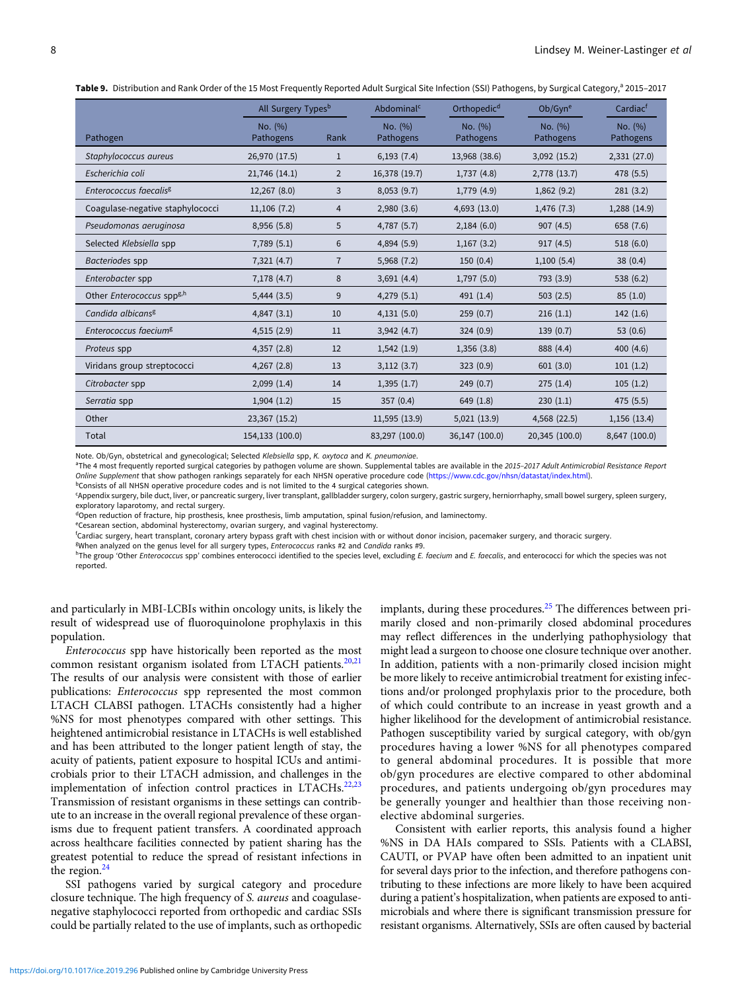<span id="page-7-0"></span>Table 9. Distribution and Rank Order of the 15 Most Frequently Reported Adult Surgical Site Infection (SSI) Pathogens, by Surgical Category,<sup>a</sup> 2015-2017

|                      |                | Abdominal <sup>c</sup>         | Orthopedic <sup>d</sup> | Ob/Gyn <sup>e</sup>  | Cardiac <sup>t</sup> |
|----------------------|----------------|--------------------------------|-------------------------|----------------------|----------------------|
| No. (%)<br>Pathogens | Rank           | No. (%)<br>Pathogens           | No. (%)<br>Pathogens    | No. (%)<br>Pathogens | No. (%)<br>Pathogens |
| 26,970 (17.5)        | $\mathbf{1}$   | 6,193(7.4)                     | 13,968 (38.6)           | 3,092(15.2)          | 2,331 (27.0)         |
| 21,746 (14.1)        | $\overline{2}$ | 16,378 (19.7)                  | 1,737(4.8)              | 2,778 (13.7)         | 478 (5.5)            |
| 12,267 (8.0)         | 3              | 8,053(9.7)                     | 1,779(4.9)              | 1,862(9.2)           | 281(3.2)             |
| 11,106(7.2)          | 4              | 2,980(3.6)                     | 4,693 (13.0)            | 1,476(7.3)           | 1,288 (14.9)         |
| 8,956 (5.8)          | 5              | 4,787(5.7)                     | 2,184(6.0)              | 907(4.5)             | 658 (7.6)            |
| 7,789(5.1)           | 6              | 4,894 (5.9)                    | 1,167(3.2)              | 917(4.5)             | 518(6.0)             |
| 7,321(4.7)           | $\overline{7}$ | 5,968 (7.2)                    | 150(0.4)                | 1,100(5.4)           | 38(0.4)              |
| 7,178 (4.7)          | 8              | 3,691(4.4)                     | 1,797(5.0)              | 793 (3.9)            | 538 (6.2)            |
| $5,444$ $(3.5)$      | 9              | 4,279(5.1)                     | 491(1.4)                | 503(2.5)             | 85(1.0)              |
| 4,847(3.1)           | 10             | 4,131(5.0)                     | 259(0.7)                | 216(1.1)             | 142 (1.6)            |
| 4,515(2.9)           | 11             | 3,942(4.7)                     | 324(0.9)                | 139(0.7)             | 53 $(0.6)$           |
| 4,357 (2.8)          | 12             | 1,542(1.9)                     | 1,356(3.8)              | 888 (4.4)            | 400 (4.6)            |
| 4,267(2.8)           | 13             | 3,112(3.7)                     | 323(0.9)                | 601(3.0)             | 101(1.2)             |
| 2,099(1.4)           | 14             | 1,395(1.7)                     | 249(0.7)                | 275(1.4)             | 105(1.2)             |
| 1,904(1.2)           | 15             | 357(0.4)                       | 649 (1.8)               | 230(1.1)             | 475 (5.5)            |
| 23,367 (15.2)        |                | 11,595 (13.9)                  | 5,021(13.9)             | 4,568 (22.5)         | 1,156 (13.4)         |
| 154,133 (100.0)      |                | 83,297 (100.0)                 | 36,147 (100.0)          | 20,345 (100.0)       | 8,647 (100.0)        |
|                      |                | All Surgery Types <sup>b</sup> |                         |                      |                      |

Note. Ob/Gyn, obstetrical and gynecological; Selected Klebsiella spp, K. oxytoca and K. pneumoniae.

aThe 4 most frequently reported surgical categories by pathogen volume are shown. Supplemental tables are available in the 2015-2017 Adult Antimicrobial Resistance Report Online Supplement that show pathogen rankings separately for each NHSN operative procedure code [\(https://www.cdc.gov/nhsn/datastat/index.html\)](https://www.cdc.gov/nhsn/datastat/index.html).

<sup>b</sup>Consists of all NHSN operative procedure codes and is not limited to the 4 surgical categories shown.

c Appendix surgery, bile duct, liver, or pancreatic surgery, liver transplant, gallbladder surgery, colon surgery, gastric surgery, herniorrhaphy, small bowel surgery, spleen surgery, exploratory laparotomy, and rectal surgery.

<sup>d</sup>Open reduction of fracture, hip prosthesis, knee prosthesis, limb amputation, spinal fusion/refusion, and laminectomy.

<sup>e</sup>Cesarean section, abdominal hysterectomy, ovarian surgery, and vaginal hysterectomy.

f Cardiac surgery, heart transplant, coronary artery bypass graft with chest incision with or without donor incision, pacemaker surgery, and thoracic surgery.

BWhen analyzed on the genus level for all surgery types, Enterococcus ranks #2 and Candida ranks #9.

hThe group 'Other Enterococcus spp' combines enterococci identified to the species level, excluding E. faecium and E. faecalis, and enterococci for which the species was not reported.

and particularly in MBI-LCBIs within oncology units, is likely the result of widespread use of fluoroquinolone prophylaxis in this population.

Enterococcus spp have historically been reported as the most common resistant organism isolated from LTACH patients. $20,21$ The results of our analysis were consistent with those of earlier publications: Enterococcus spp represented the most common LTACH CLABSI pathogen. LTACHs consistently had a higher %NS for most phenotypes compared with other settings. This heightened antimicrobial resistance in LTACHs is well established and has been attributed to the longer patient length of stay, the acuity of patients, patient exposure to hospital ICUs and antimicrobials prior to their LTACH admission, and challenges in the implementation of infection control practices in LTACHs.<sup>[22,23](#page-15-0)</sup> Transmission of resistant organisms in these settings can contribute to an increase in the overall regional prevalence of these organisms due to frequent patient transfers. A coordinated approach across healthcare facilities connected by patient sharing has the greatest potential to reduce the spread of resistant infections in the region.<sup>[24](#page-15-0)</sup>

SSI pathogens varied by surgical category and procedure closure technique. The high frequency of S. aureus and coagulasenegative staphylococci reported from orthopedic and cardiac SSIs could be partially related to the use of implants, such as orthopedic implants, during these procedures. $25$  The differences between primarily closed and non-primarily closed abdominal procedures may reflect differences in the underlying pathophysiology that might lead a surgeon to choose one closure technique over another. In addition, patients with a non-primarily closed incision might be more likely to receive antimicrobial treatment for existing infections and/or prolonged prophylaxis prior to the procedure, both of which could contribute to an increase in yeast growth and a higher likelihood for the development of antimicrobial resistance. Pathogen susceptibility varied by surgical category, with ob/gyn procedures having a lower %NS for all phenotypes compared to general abdominal procedures. It is possible that more ob/gyn procedures are elective compared to other abdominal procedures, and patients undergoing ob/gyn procedures may be generally younger and healthier than those receiving nonelective abdominal surgeries.

Consistent with earlier reports, this analysis found a higher %NS in DA HAIs compared to SSIs. Patients with a CLABSI, CAUTI, or PVAP have often been admitted to an inpatient unit for several days prior to the infection, and therefore pathogens contributing to these infections are more likely to have been acquired during a patient's hospitalization, when patients are exposed to antimicrobials and where there is significant transmission pressure for resistant organisms. Alternatively, SSIs are often caused by bacterial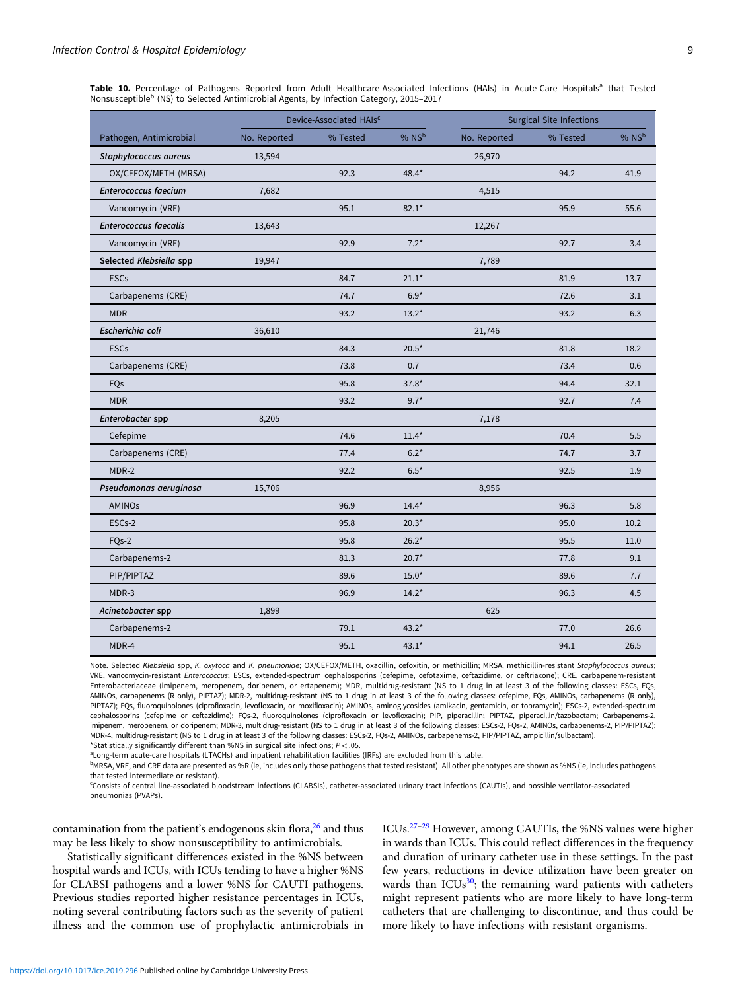<span id="page-8-0"></span>Table 10. Percentage of Pathogens Reported from Adult Healthcare-Associated Infections (HAIs) in Acute-Care Hospitals<sup>a</sup> that Tested Nonsusceptible<sup>b</sup> (NS) to Selected Antimicrobial Agents, by Infection Category, 2015–2017

|                              |              | Device-Associated HAIs <sup>c</sup> |                     |              | <b>Surgical Site Infections</b> |       |
|------------------------------|--------------|-------------------------------------|---------------------|--------------|---------------------------------|-------|
| Pathogen, Antimicrobial      | No. Reported | % Tested                            | $%$ NS <sup>b</sup> | No. Reported | % Tested                        | % NSb |
| Staphylococcus aureus        | 13,594       |                                     |                     | 26,970       |                                 |       |
| OX/CEFOX/METH (MRSA)         |              | 92.3                                | 48.4*               |              | 94.2                            | 41.9  |
| <b>Enterococcus faecium</b>  | 7,682        |                                     |                     | 4,515        |                                 |       |
| Vancomycin (VRE)             |              | 95.1                                | $82.1*$             |              | 95.9                            | 55.6  |
| <b>Enterococcus faecalis</b> | 13,643       |                                     |                     | 12,267       |                                 |       |
| Vancomycin (VRE)             |              | 92.9                                | $7.2*$              |              | 92.7                            | 3.4   |
| Selected Klebsiella spp      | 19,947       |                                     |                     | 7,789        |                                 |       |
| <b>ESCs</b>                  |              | 84.7                                | $21.1*$             |              | 81.9                            | 13.7  |
| Carbapenems (CRE)            |              | 74.7                                | $6.9*$              |              | 72.6                            | 3.1   |
| <b>MDR</b>                   |              | 93.2                                | $13.2*$             |              | 93.2                            | 6.3   |
| Escherichia coli             | 36,610       |                                     |                     | 21,746       |                                 |       |
| <b>ESCs</b>                  |              | 84.3                                | $20.5*$             |              | 81.8                            | 18.2  |
| Carbapenems (CRE)            |              | 73.8                                | 0.7                 |              | 73.4                            | 0.6   |
| FQs                          |              | 95.8                                | $37.8*$             |              | 94.4                            | 32.1  |
| <b>MDR</b>                   |              | 93.2                                | $9.7*$              |              | 92.7                            | 7.4   |
| Enterobacter spp             | 8,205        |                                     |                     | 7,178        |                                 |       |
| Cefepime                     |              | 74.6                                | $11.4*$             |              | 70.4                            | 5.5   |
| Carbapenems (CRE)            |              | 77.4                                | $6.2*$              |              | 74.7                            | 3.7   |
| MDR-2                        |              | 92.2                                | $6.5*$              |              | 92.5                            | 1.9   |
| Pseudomonas aeruginosa       | 15,706       |                                     |                     | 8,956        |                                 |       |
| <b>AMINOs</b>                |              | 96.9                                | $14.4*$             |              | 96.3                            | 5.8   |
| ESCs-2                       |              | 95.8                                | $20.3*$             |              | 95.0                            | 10.2  |
| FQ <sub>s</sub> -2           |              | 95.8                                | $26.2*$             |              | 95.5                            | 11.0  |
| Carbapenems-2                |              | 81.3                                | $20.7*$             |              | 77.8                            | 9.1   |
| PIP/PIPTAZ                   |              | 89.6                                | $15.0*$             |              | 89.6                            | 7.7   |
| MDR-3                        |              | 96.9                                | $14.2*$             |              | 96.3                            | 4.5   |
| Acinetobacter spp            | 1,899        |                                     |                     | 625          |                                 |       |
| Carbapenems-2                |              | 79.1                                | $43.2*$             |              | 77.0                            | 26.6  |
| MDR-4                        |              | 95.1                                | $43.1*$             |              | 94.1                            | 26.5  |

Note. Selected Klebsiella spp, K. oxytoca and K. pneumoniae; OX/CEFOX/METH, oxacillin, cefoxitin, or methicillin; MRSA, methicillin-resistant Staphylococcus aureus; VRE, vancomycin-resistant Enterococcus; ESCs, extended-spectrum cephalosporins (cefepime, cefotaxime, ceftazidime, or ceftriaxone); CRE, carbapenem-resistant Enterobacteriaceae (imipenem, meropenem, doripenem, or ertapenem); MDR, multidrug-resistant (NS to 1 drug in at least 3 of the following classes: ESCs, FQs, AMINOs, carbapenems (R only), PIPTAZ); MDR-2, multidrug-resistant (NS to 1 drug in at least 3 of the following classes: cefepime, FQs, AMINOs, carbapenems (R only), PIPTAZ); FQs, fluoroquinolones (ciprofloxacin, levofloxacin, or moxifloxacin); AMINOs, aminoglycosides (amikacin, gentamicin, or tobramycin); ESCs-2, extended-spectrum cephalosporins (cefepime or ceftazidime); FQs-2, fluoroquinolones (ciprofloxacin or levofloxacin); PIP, piperacillin; PIPTAZ, piperacillin/tazobactam; Carbapenems-2, imipenem, meropenem, or doripenem; MDR-3, multidrug-resistant (NS to 1 drug in at least 3 of the following classes: ESCs-2, FQs-2, AMINOs, carbapenems-2, PIP/PIPTAZ); MDR-4, multidrug-resistant (NS to 1 drug in at least 3 of the following classes: ESCs-2, FQs-2, AMINOs, carbapenems-2, PIP/PIPTAZ, ampicillin/sulbactam). \*Statistically significantly different than %NS in surgical site infections;  $P < .05$ .

aLong-term acute-care hospitals (LTACHs) and inpatient rehabilitation facilities (IRFs) are excluded from this table.

bMRSA, VRE, and CRE data are presented as %R (ie, includes only those pathogens that tested resistant). All other phenotypes are shown as %NS (ie, includes pathogens that tested intermediate or resistant).

c Consists of central line-associated bloodstream infections (CLABSIs), catheter-associated urinary tract infections (CAUTIs), and possible ventilator-associated pneumonias (PVAPs).

contamination from the patient's endogenous skin flora,<sup>26</sup> and thus may be less likely to show nonsusceptibility to antimicrobials.

Statistically significant differences existed in the %NS between hospital wards and ICUs, with ICUs tending to have a higher %NS for CLABSI pathogens and a lower %NS for CAUTI pathogens. Previous studies reported higher resistance percentages in ICUs, noting several contributing factors such as the severity of patient illness and the common use of prophylactic antimicrobials in ICUs.[27](#page-15-0)–[29](#page-15-0) However, among CAUTIs, the %NS values were higher in wards than ICUs. This could reflect differences in the frequency and duration of urinary catheter use in these settings. In the past few years, reductions in device utilization have been greater on wards than ICUs $30$ ; the remaining ward patients with catheters might represent patients who are more likely to have long-term catheters that are challenging to discontinue, and thus could be more likely to have infections with resistant organisms.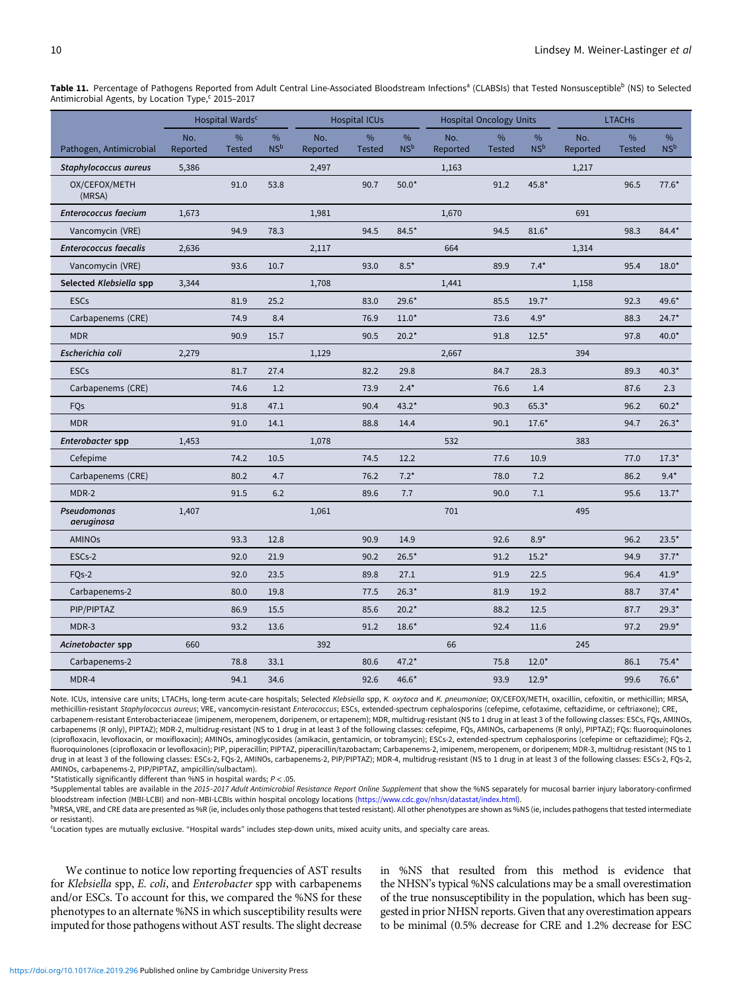<span id="page-9-0"></span>Table 11. Percentage of Pathogens Reported from Adult Central Line-Associated Bloodstream Infections<sup>a</sup> (CLABSIs) that Tested Nonsusceptible<sup>b</sup> (NS) to Selected Antimicrobial Agents, by Location Type,<sup>c</sup> 2015-2017

|                              |                 | Hospital Wards <sup>c</sup>    |                                  |                 | <b>Hospital ICUs</b> |                         |                 | <b>Hospital Oncology Units</b> |                         |                 | <b>LTACHs</b>      |                         |
|------------------------------|-----------------|--------------------------------|----------------------------------|-----------------|----------------------|-------------------------|-----------------|--------------------------------|-------------------------|-----------------|--------------------|-------------------------|
| Pathogen, Antimicrobial      | No.<br>Reported | $\frac{9}{6}$<br><b>Tested</b> | $\frac{9}{6}$<br>NS <sup>b</sup> | No.<br>Reported | %<br><b>Tested</b>   | $\%$<br>NS <sup>b</sup> | No.<br>Reported | $\%$<br><b>Tested</b>          | $\%$<br>NS <sup>b</sup> | No.<br>Reported | %<br><b>Tested</b> | $\%$<br>NS <sup>b</sup> |
| Staphylococcus aureus        | 5,386           |                                |                                  | 2,497           |                      |                         | 1,163           |                                |                         | 1,217           |                    |                         |
| OX/CEFOX/METH<br>(MRSA)      |                 | 91.0                           | 53.8                             |                 | 90.7                 | $50.0*$                 |                 | 91.2                           | 45.8*                   |                 | 96.5               | $77.6*$                 |
| <b>Enterococcus faecium</b>  | 1,673           |                                |                                  | 1,981           |                      |                         | 1,670           |                                |                         | 691             |                    |                         |
| Vancomycin (VRE)             |                 | 94.9                           | 78.3                             |                 | 94.5                 | $84.5*$                 |                 | 94.5                           | $81.6*$                 |                 | 98.3               | 84.4*                   |
| <b>Enterococcus faecalis</b> | 2,636           |                                |                                  | 2,117           |                      |                         | 664             |                                |                         | 1,314           |                    |                         |
| Vancomycin (VRE)             |                 | 93.6                           | 10.7                             |                 | 93.0                 | $8.5*$                  |                 | 89.9                           | $7.4*$                  |                 | 95.4               | $18.0*$                 |
| Selected Klebsiella spp      | 3,344           |                                |                                  | 1,708           |                      |                         | 1,441           |                                |                         | 1,158           |                    |                         |
| <b>ESCs</b>                  |                 | 81.9                           | 25.2                             |                 | 83.0                 | $29.6*$                 |                 | 85.5                           | $19.7*$                 |                 | 92.3               | 49.6*                   |
| Carbapenems (CRE)            |                 | 74.9                           | 8.4                              |                 | 76.9                 | $11.0*$                 |                 | 73.6                           | $4.9*$                  |                 | 88.3               | $24.7*$                 |
| <b>MDR</b>                   |                 | 90.9                           | 15.7                             |                 | 90.5                 | $20.2*$                 |                 | 91.8                           | $12.5*$                 |                 | 97.8               | $40.0*$                 |
| Escherichia coli             | 2,279           |                                |                                  | 1,129           |                      |                         | 2,667           |                                |                         | 394             |                    |                         |
| <b>ESCs</b>                  |                 | 81.7                           | 27.4                             |                 | 82.2                 | 29.8                    |                 | 84.7                           | 28.3                    |                 | 89.3               | $40.3*$                 |
| Carbapenems (CRE)            |                 | 74.6                           | 1.2                              |                 | 73.9                 | $2.4*$                  |                 | 76.6                           | 1.4                     |                 | 87.6               | 2.3                     |
| FQs                          |                 | 91.8                           | 47.1                             |                 | 90.4                 | $43.2*$                 |                 | 90.3                           | $65.3*$                 |                 | 96.2               | $60.2*$                 |
| <b>MDR</b>                   |                 | 91.0                           | 14.1                             |                 | 88.8                 | 14.4                    |                 | 90.1                           | $17.6*$                 |                 | 94.7               | $26.3*$                 |
| Enterobacter spp             | 1,453           |                                |                                  | 1,078           |                      |                         | 532             |                                |                         | 383             |                    |                         |
| Cefepime                     |                 | 74.2                           | 10.5                             |                 | 74.5                 | 12.2                    |                 | 77.6                           | 10.9                    |                 | 77.0               | $17.3*$                 |
| Carbapenems (CRE)            |                 | 80.2                           | 4.7                              |                 | 76.2                 | $7.2*$                  |                 | 78.0                           | 7.2                     |                 | 86.2               | $9.4*$                  |
| MDR-2                        |                 | 91.5                           | 6.2                              |                 | 89.6                 | 7.7                     |                 | 90.0                           | 7.1                     |                 | 95.6               | $13.7*$                 |
| Pseudomonas<br>aeruginosa    | 1,407           |                                |                                  | 1,061           |                      |                         | 701             |                                |                         | 495             |                    |                         |
| <b>AMINOs</b>                |                 | 93.3                           | 12.8                             |                 | 90.9                 | 14.9                    |                 | 92.6                           | $8.9*$                  |                 | 96.2               | $23.5*$                 |
| ESCs-2                       |                 | 92.0                           | 21.9                             |                 | 90.2                 | $26.5*$                 |                 | 91.2                           | $15.2*$                 |                 | 94.9               | $37.7*$                 |
| $FOs-2$                      |                 | 92.0                           | 23.5                             |                 | 89.8                 | 27.1                    |                 | 91.9                           | 22.5                    |                 | 96.4               | $41.9*$                 |
| Carbapenems-2                |                 | 80.0                           | 19.8                             |                 | 77.5                 | $26.3*$                 |                 | 81.9                           | 19.2                    |                 | 88.7               | $37.4*$                 |
| PIP/PIPTAZ                   |                 | 86.9                           | 15.5                             |                 | 85.6                 | $20.2*$                 |                 | 88.2                           | 12.5                    |                 | 87.7               | $29.3*$                 |
| MDR-3                        |                 | 93.2                           | 13.6                             |                 | 91.2                 | $18.6*$                 |                 | 92.4                           | 11.6                    |                 | 97.2               | $29.9*$                 |
| Acinetobacter spp            | 660             |                                |                                  | 392             |                      |                         | 66              |                                |                         | 245             |                    |                         |
| Carbapenems-2                |                 | 78.8                           | 33.1                             |                 | 80.6                 | $47.2*$                 |                 | 75.8                           | $12.0*$                 |                 | 86.1               | $75.4*$                 |
| MDR-4                        |                 | 94.1                           | 34.6                             |                 | 92.6                 | 46.6*                   |                 | 93.9                           | $12.9*$                 |                 | 99.6               | 76.6*                   |

Note. ICUs, intensive care units; LTACHs, long-term acute-care hospitals; Selected Klebsiella spp, K. oxytoca and K. pneumoniae; OX/CEFOX/METH, oxacillin, cefoxitin, or methicillin; MRSA, methicillin-resistant Staphylococcus aureus; VRE, vancomycin-resistant Enterococcus; ESCs, extended-spectrum cephalosporins (cefepime, cefotaxime, ceftazidime, or ceftriaxone); CRE, carbapenem-resistant Enterobacteriaceae (imipenem, meropenem, doripenem, or ertapenem); MDR, multidrug-resistant (NS to 1 drug in at least 3 of the following classes: ESCs, FQs, AMINOs, carbapenems (R only), PIPTAZ); MDR-2, multidrug-resistant (NS to 1 drug in at least 3 of the following classes: cefepime, FQs, AMINOs, carbapenems (R only), PIPTAZ); FQs: fluoroquinolones (ciprofloxacin, levofloxacin, or moxifloxacin); AMINOs, aminoglycosides (amikacin, gentamicin, or tobramycin); ESCs-2, extended-spectrum cephalosporins (cefepime or ceftazidime); FQs-2, fluoroquinolones (ciprofloxacin or levofloxacin); PIP, piperacillin; PIPTAZ, piperacillin/tazobactam; Carbapenems-2, imipenem, meropenem, or doripenem; MDR-3, multidrug-resistant (NS to 1 drug in at least 3 of the following classes: ESCs-2, FQs-2, AMINOs, carbapenems-2, PIP/PIPTAZ); MDR-4, multidrug-resistant (NS to 1 drug in at least 3 of the following classes: ESCs-2, FQs-2, AMINOs, carbapenems-2, PIP/PIPTAZ, ampicillin/sulbactam).

\*Statistically significantly different than %NS in hospital wards;  $P < .05$ .

<sup>a</sup>Supplemental tables are available in the 2015-2017 Adult Antimicrobial Resistance Report Online Supplement that show the %NS separately for mucosal barrier injury laboratory-confirmed bloodstream infection (MBI-LCBI) and non–MBI-LCBIs within hospital oncology locations [\(https://www.cdc.gov/nhsn/datastat/index.html](https://www.cdc.gov/nhsn/datastat/index.html)).

bMRSA, VRE, and CRE data are presented as %R (ie, includes only those pathogens that tested resistant). All other phenotypes are shown as %NS (ie, includes pathogens that tested intermediate or resistant).

c Location types are mutually exclusive. "Hospital wards" includes step-down units, mixed acuity units, and specialty care areas.

We continue to notice low reporting frequencies of AST results for Klebsiella spp, E. coli, and Enterobacter spp with carbapenems and/or ESCs. To account for this, we compared the %NS for these phenotypes to an alternate %NS in which susceptibility results were imputed for those pathogens without AST results. The slight decrease

in %NS that resulted from this method is evidence that the NHSN's typical %NS calculations may be a small overestimation of the true nonsusceptibility in the population, which has been suggested in prior NHSN reports. Given that any overestimation appears to be minimal (0.5% decrease for CRE and 1.2% decrease for ESC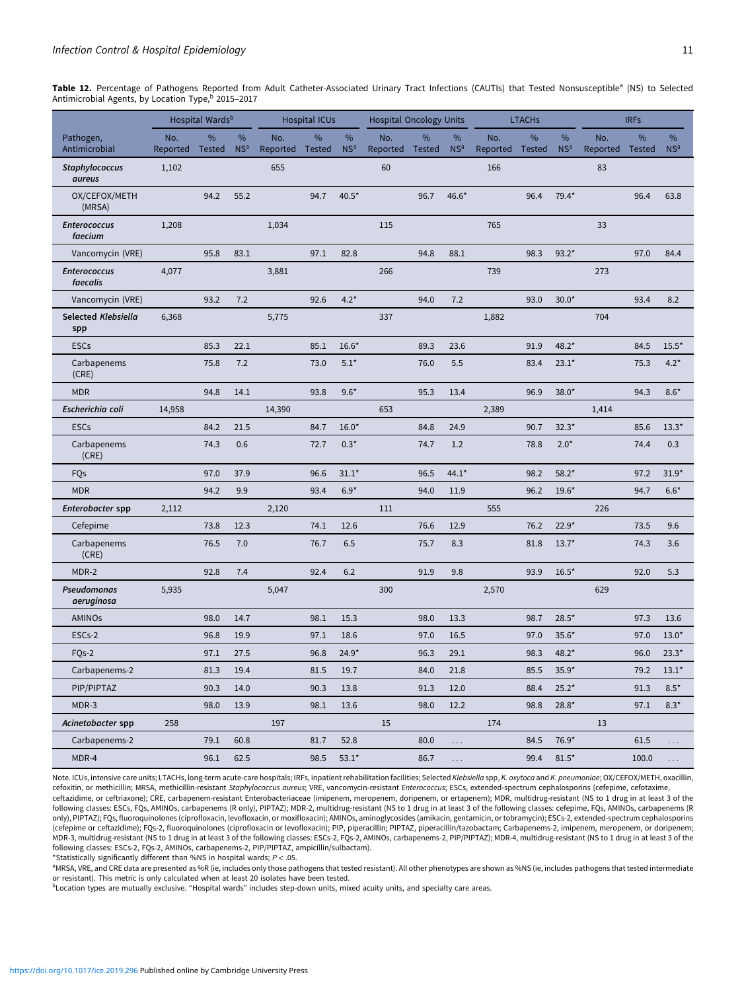<span id="page-10-0"></span>Table 12. Percentage of Pathogens Reported from Adult Catheter-Associated Urinary Tract Infections (CAUTIs) that Tested Nonsusceptible<sup>a</sup> (NS) to Selected Antimicrobial Agents, by Location Type, 2015-2017

|                                 |                        | Hospital Wards <sup>b</sup> |                      |                        | <b>Hospital ICUs</b> |                      | <b>Hospital Oncology Units</b> |      |                      |                 | <b>LTACHs</b>      |                      |                        | <b>IRFs</b> |                      |
|---------------------------------|------------------------|-----------------------------|----------------------|------------------------|----------------------|----------------------|--------------------------------|------|----------------------|-----------------|--------------------|----------------------|------------------------|-------------|----------------------|
| Pathogen,<br>Antimicrobial      | No.<br>Reported Tested | %                           | %<br>NS <sup>a</sup> | No.<br>Reported Tested | $\%$                 | %<br>NS <sup>a</sup> | No.<br>Reported Tested         | $\%$ | %<br>NS <sup>a</sup> | No.<br>Reported | %<br><b>Tested</b> | %<br>NS <sup>a</sup> | No.<br>Reported Tested | %           | %<br>NS <sup>a</sup> |
| <b>Staphylococcus</b><br>aureus | 1,102                  |                             |                      | 655                    |                      |                      | 60                             |      |                      | 166             |                    |                      | 83                     |             |                      |
| OX/CEFOX/METH<br>(MRSA)         |                        | 94.2                        | 55.2                 |                        | 94.7                 | $40.5*$              |                                | 96.7 | $46.6*$              |                 | 96.4               | $79.4*$              |                        | 96.4        | 63.8                 |
| <b>Enterococcus</b><br>faecium  | 1,208                  |                             |                      | 1,034                  |                      |                      | 115                            |      |                      | 765             |                    |                      | 33                     |             |                      |
| Vancomycin (VRE)                |                        | 95.8                        | 83.1                 |                        | 97.1                 | 82.8                 |                                | 94.8 | 88.1                 |                 | 98.3               | $93.2*$              |                        | 97.0        | 84.4                 |
| <b>Enterococcus</b><br>faecalis | 4,077                  |                             |                      | 3,881                  |                      |                      | 266                            |      |                      | 739             |                    |                      | 273                    |             |                      |
| Vancomycin (VRE)                |                        | 93.2                        | 7.2                  |                        | 92.6                 | $4.2*$               |                                | 94.0 | 7.2                  |                 | 93.0               | $30.0*$              |                        | 93.4        | 8.2                  |
| Selected Klebsiella<br>spp      | 6,368                  |                             |                      | 5,775                  |                      |                      | 337                            |      |                      | 1,882           |                    |                      | 704                    |             |                      |
| <b>ESCs</b>                     |                        | 85.3                        | 22.1                 |                        | 85.1                 | $16.6*$              |                                | 89.3 | 23.6                 |                 | 91.9               | $48.2*$              |                        | 84.5        | $15.5*$              |
| Carbapenems<br>(CRE)            |                        | 75.8                        | 7.2                  |                        | 73.0                 | $5.1*$               |                                | 76.0 | 5.5                  |                 | 83.4               | $23.1*$              |                        | 75.3        | $4.2*$               |
| <b>MDR</b>                      |                        | 94.8                        | 14.1                 |                        | 93.8                 | $9.6*$               |                                | 95.3 | 13.4                 |                 | 96.9               | 38.0*                |                        | 94.3        | $8.6*$               |
| Escherichia coli                | 14,958                 |                             |                      | 14,390                 |                      |                      | 653                            |      |                      | 2,389           |                    |                      | 1,414                  |             |                      |
| <b>ESCs</b>                     |                        | 84.2                        | 21.5                 |                        | 84.7                 | $16.0*$              |                                | 84.8 | 24.9                 |                 | 90.7               | $32.3*$              |                        | 85.6        | $13.3*$              |
| Carbapenems<br>(CRE)            |                        | 74.3                        | 0.6                  |                        | 72.7                 | $0.3*$               |                                | 74.7 | 1.2                  |                 | 78.8               | $2.0*$               |                        | 74.4        | 0.3                  |
| FQs                             |                        | 97.0                        | 37.9                 |                        | 96.6                 | $31.1*$              |                                | 96.5 | $44.1*$              |                 | 98.2               | $58.2*$              |                        | 97.2        | $31.9*$              |
| <b>MDR</b>                      |                        | 94.2                        | 9.9                  |                        | 93.4                 | $6.9*$               |                                | 94.0 | 11.9                 |                 | 96.2               | $19.6*$              |                        | 94.7        | $6.6*$               |
| Enterobacter spp                | 2,112                  |                             |                      | 2,120                  |                      |                      | 111                            |      |                      | 555             |                    |                      | 226                    |             |                      |
| Cefepime                        |                        | 73.8                        | 12.3                 |                        | 74.1                 | 12.6                 |                                | 76.6 | 12.9                 |                 | 76.2               | $22.9*$              |                        | 73.5        | 9.6                  |
| Carbapenems<br>(CRE)            |                        | 76.5                        | 7.0                  |                        | 76.7                 | 6.5                  |                                | 75.7 | 8.3                  |                 | 81.8               | $13.7*$              |                        | 74.3        | 3.6                  |
| MDR-2                           |                        | 92.8                        | 7.4                  |                        | 92.4                 | 6.2                  |                                | 91.9 | 9.8                  |                 | 93.9               | $16.5*$              |                        | 92.0        | 5.3                  |
| Pseudomonas<br>aeruginosa       | 5,935                  |                             |                      | 5,047                  |                      |                      | 300                            |      |                      | 2,570           |                    |                      | 629                    |             |                      |
| <b>AMINOs</b>                   |                        | 98.0                        | 14.7                 |                        | 98.1                 | 15.3                 |                                | 98.0 | 13.3                 |                 | 98.7               | $28.5*$              |                        | 97.3        | 13.6                 |
| ESCs-2                          |                        | 96.8                        | 19.9                 |                        | 97.1                 | 18.6                 |                                | 97.0 | 16.5                 |                 | 97.0               | $35.6*$              |                        | 97.0        | $13.0*$              |
| FQ <sub>s</sub> -2              |                        | 97.1                        | 27.5                 |                        | 96.8                 | $24.9*$              |                                | 96.3 | 29.1                 |                 | 98.3               | $48.2*$              |                        | 96.0        | $23.3*$              |
| Carbapenems-2                   |                        | 81.3                        | 19.4                 |                        | 81.5                 | 19.7                 |                                | 84.0 | $21.8\,$             |                 | 85.5               | $35.9*$              |                        | 79.2        | $13.1*$              |
| PIP/PIPTAZ                      |                        | 90.3                        | 14.0                 |                        | 90.3                 | 13.8                 |                                | 91.3 | 12.0                 |                 | 88.4               | $25.2*$              |                        | 91.3        | $8.5*$               |
| MDR-3                           |                        | 98.0                        | 13.9                 |                        | 98.1                 | 13.6                 |                                | 98.0 | 12.2                 |                 | 98.8               | $28.8*$              |                        | 97.1        | $8.3*$               |
| Acinetobacter spp               | 258                    |                             |                      | 197                    |                      |                      | 15                             |      |                      | 174             |                    |                      | 13                     |             |                      |
| Carbapenems-2                   |                        | 79.1                        | 60.8                 |                        | 81.7                 | 52.8                 |                                | 80.0 | $\cdots$             |                 | 84.5               | 76.9*                |                        | 61.5        |                      |
| MDR-4                           |                        | 96.1                        | 62.5                 |                        | 98.5                 | $53.1*$              |                                | 86.7 | $\ldots$             |                 | 99.4               | $81.5^{\star}$       |                        | 100.0       | $\cdots$             |

Note. ICUs, intensive care units; LTACHs, long-term acute-care hospitals; IRFs, inpatient rehabilitation facilities; Selected Klebsiella spp, K. oxytoca and K. pneumoniae; OX/CEFOX/METH, oxacillin, cefoxitin, or methicillin; MRSA, methicillin-resistant Staphylococcus aureus; VRE, vancomycin-resistant Enterococcus; ESCs, extended-spectrum cephalosporins (cefepime, cefotaxime, ceftazidime, or ceftriaxone); CRE, carbapenem-resistant Enterobacteriaceae (imipenem, meropenem, doripenem, or ertapenem); MDR, multidrug-resistant (NS to 1 drug in at least 3 of the following classes: ESCs, FQs, AMINOs, carbapenems (R only), PIPTAZ); MDR-2, multidrug-resistant (NS to 1 drug in at least 3 of the following classes: cefepime, FQs, AMINOs, carbapenems (R only), PIPTAZ); FQs, fluoroquinolones (ciprofloxacin, levofloxacin, or moxifloxacin); AMINOs, aminoglycosides (amikacin, gentamicin, or tobramycin); ESCs-2, extended-spectrum cephalosporins (cefepime or ceftazidime); FQs-2, fluoroquinolones (ciprofloxacin or levofloxacin); PIP, piperacillin; PIPTAZ, piperacillin/tazobactam; Carbapenems-2, imipenem, meropenem, or doripenem; MDR-3, multidrug-resistant (NS to 1 drug in at least 3 of the following classes: ESCs-2, FQs-2, AMINOs, carbapenems-2, PIP/PIPTAZ); MDR-4, multidrug-resistant (NS to 1 drug in at least 3 of the following classes: ESCs-2, FQs-2, AMINOs, carbapenems-2, PIP/PIPTAZ, ampicillin/sulbactam).

\*Statistically significantly different than %NS in hospital wards;  $P < .05$ .

a MRSA, VRE, and CRE data are presented as %R (ie, includes only those pathogens that tested resistant). All other phenotypes are shown as %NS (ie, includes pathogens that tested intermediate or resistant). This metric is only calculated when at least 20 isolates have been tested.

bLocation types are mutually exclusive. "Hospital wards" includes step-down units, mixed acuity units, and specialty care areas.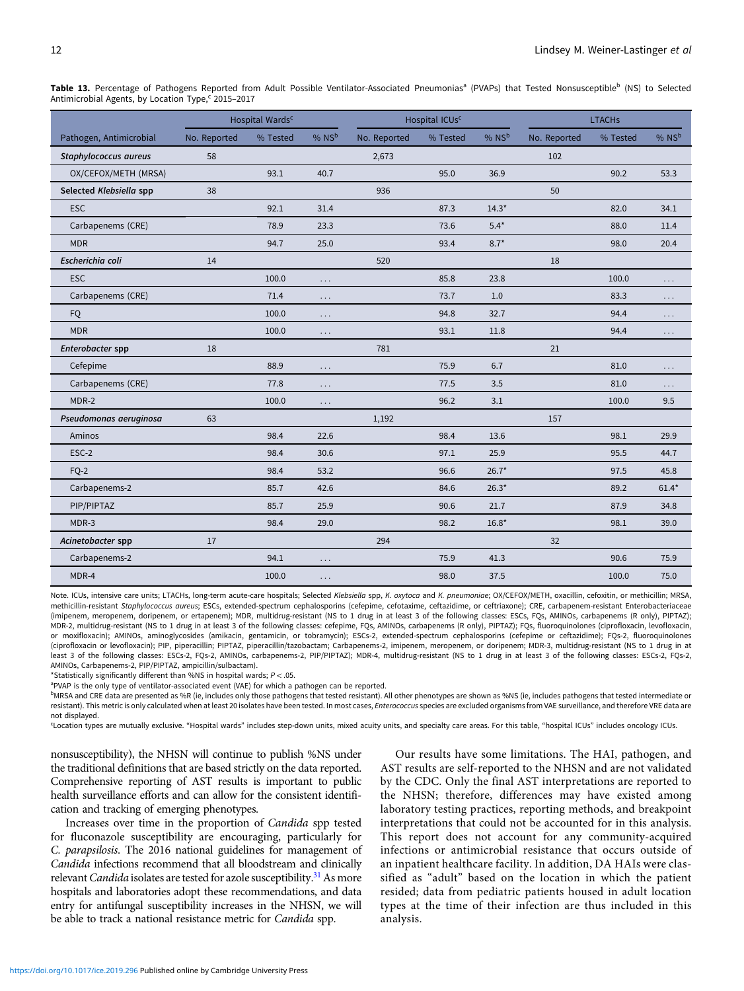<span id="page-11-0"></span>Table 13. Percentage of Pathogens Reported from Adult Possible Ventilator-Associated Pneumonias<sup>a</sup> (PVAPs) that Tested Nonsusceptible<sup>b</sup> (NS) to Selected Antimicrobial Agents, by Location Type,<sup>c</sup> 2015–2017

|                         |              | Hospital Wards <sup>c</sup> |          |              | Hospital ICUs <sup>c</sup> |                     |              | <b>LTACHs</b> |         |
|-------------------------|--------------|-----------------------------|----------|--------------|----------------------------|---------------------|--------------|---------------|---------|
| Pathogen, Antimicrobial | No. Reported | % Tested                    | % NSb    | No. Reported | % Tested                   | $%$ NS <sup>b</sup> | No. Reported | % Tested      | % NSb   |
| Staphylococcus aureus   | 58           |                             |          | 2,673        |                            |                     | 102          |               |         |
| OX/CEFOX/METH (MRSA)    |              | 93.1                        | 40.7     |              | 95.0                       | 36.9                |              | 90.2          | 53.3    |
| Selected Klebsiella spp | 38           |                             |          | 936          |                            |                     | 50           |               |         |
| <b>ESC</b>              |              | 92.1                        | 31.4     |              | 87.3                       | $14.3*$             |              | 82.0          | 34.1    |
| Carbapenems (CRE)       |              | 78.9                        | 23.3     |              | 73.6                       | $5.4*$              |              | 88.0          | 11.4    |
| <b>MDR</b>              |              | 94.7                        | 25.0     |              | 93.4                       | $8.7*$              |              | 98.0          | 20.4    |
| Escherichia coli        | 14           |                             |          | 520          |                            |                     | 18           |               |         |
| <b>ESC</b>              |              | 100.0                       | .        |              | 85.8                       | 23.8                |              | 100.0         | .       |
| Carbapenems (CRE)       |              | 71.4                        | .        |              | 73.7                       | 1.0                 |              | 83.3          | .       |
| <b>FQ</b>               |              | 100.0                       | $\cdots$ |              | 94.8                       | 32.7                |              | 94.4          | .       |
| <b>MDR</b>              |              | 100.0                       | .        |              | 93.1                       | 11.8                |              | 94.4          | .       |
| Enterobacter spp        | 18           |                             |          | 781          |                            |                     | 21           |               |         |
| Cefepime                |              | 88.9                        | .        |              | 75.9                       | 6.7                 |              | 81.0          | .       |
| Carbapenems (CRE)       |              | 77.8                        | .        |              | 77.5                       | 3.5                 |              | 81.0          | .       |
| MDR-2                   |              | 100.0                       | .        |              | 96.2                       | 3.1                 |              | 100.0         | 9.5     |
| Pseudomonas aeruginosa  | 63           |                             |          | 1,192        |                            |                     | 157          |               |         |
| Aminos                  |              | 98.4                        | 22.6     |              | 98.4                       | 13.6                |              | 98.1          | 29.9    |
| ESC-2                   |              | 98.4                        | 30.6     |              | 97.1                       | 25.9                |              | 95.5          | 44.7    |
| $FQ-2$                  |              | 98.4                        | 53.2     |              | 96.6                       | $26.7*$             |              | 97.5          | 45.8    |
| Carbapenems-2           |              | 85.7                        | 42.6     |              | 84.6                       | $26.3*$             |              | 89.2          | $61.4*$ |
| PIP/PIPTAZ              |              | 85.7                        | 25.9     |              | 90.6                       | 21.7                |              | 87.9          | 34.8    |
| MDR-3                   |              | 98.4                        | 29.0     |              | 98.2                       | $16.8*$             |              | 98.1          | 39.0    |
| Acinetobacter spp       | 17           |                             |          | 294          |                            |                     | 32           |               |         |
| Carbapenems-2           |              | 94.1                        | .        |              | 75.9                       | 41.3                |              | 90.6          | 75.9    |
| MDR-4                   |              | 100.0                       | $\cdots$ |              | 98.0                       | 37.5                |              | 100.0         | 75.0    |

Note. ICUs, intensive care units; LTACHs, long-term acute-care hospitals; Selected Klebsiella spp, K. oxytoca and K. pneumoniae; OX/CEFOX/METH, oxacillin, cefoxitin, or methicillin; MRSA, methicillin-resistant Staphylococcus aureus; ESCs, extended-spectrum cephalosporins (cefepime, cefotaxime, ceftazidime, or ceftriaxone); CRE, carbapenem-resistant Enterobacteriaceae (imipenem, meropenem, doripenem, or ertapenem); MDR, multidrug-resistant (NS to 1 drug in at least 3 of the following classes: ESCs, FQs, AMINOs, carbapenems (R only), PIPTAZ); MDR-2, multidrug-resistant (NS to 1 drug in at least 3 of the following classes: cefepime, FQs, AMINOs, carbapenems (R only), PIPTAZ); FQs, fluoroquinolones (ciprofloxacin, levofloxacin, or moxifloxacin); AMINOs, aminoglycosides (amikacin, gentamicin, or tobramycin); ESCs-2, extended-spectrum cephalosporins (cefepime or ceftazidime); FQs-2, fluoroquinolones (ciprofloxacin or levofloxacin); PIP, piperacillin; PIPTAZ, piperacillin/tazobactam; Carbapenems-2, imipenem, meropenem, or doripenem; MDR-3, multidrug-resistant (NS to 1 drug in at least 3 of the following classes: ESCs-2, FQs-2, AMINOs, carbapenems-2, PIP/PIPTAZ); MDR-4, multidrug-resistant (NS to 1 drug in at least 3 of the following classes: ESCs-2, FQs-2, AMINOs, Carbapenems-2, PIP/PIPTAZ, ampicillin/sulbactam).

\*Statistically significantly different than %NS in hospital wards:  $P < .05$ .

<sup>a</sup>PVAP is the only type of ventilator-associated event (VAE) for which a pathogen can be reported.

bMRSA and CRE data are presented as %R (ie, includes only those pathogens that tested resistant). All other phenotypes are shown as %NS (ie, includes pathogens that tested intermediate or resistant). This metric is only calculated when at least 20 isolates have been tested. In most cases, Enterococcus species are excluded organisms from VAE surveillance, and therefore VRE data are not displayed.

c Location types are mutually exclusive. "Hospital wards" includes step-down units, mixed acuity units, and specialty care areas. For this table, "hospital ICUs" includes oncology ICUs.

nonsusceptibility), the NHSN will continue to publish %NS under the traditional definitions that are based strictly on the data reported. Comprehensive reporting of AST results is important to public health surveillance efforts and can allow for the consistent identification and tracking of emerging phenotypes.

Increases over time in the proportion of Candida spp tested for fluconazole susceptibility are encouraging, particularly for C. parapsilosis. The 2016 national guidelines for management of Candida infections recommend that all bloodstream and clinically relevant *Candida* isolates are tested for azole susceptibility.<sup>[31](#page-15-0)</sup> As more hospitals and laboratories adopt these recommendations, and data entry for antifungal susceptibility increases in the NHSN, we will be able to track a national resistance metric for Candida spp.

Our results have some limitations. The HAI, pathogen, and AST results are self-reported to the NHSN and are not validated by the CDC. Only the final AST interpretations are reported to the NHSN; therefore, differences may have existed among laboratory testing practices, reporting methods, and breakpoint interpretations that could not be accounted for in this analysis. This report does not account for any community-acquired infections or antimicrobial resistance that occurs outside of an inpatient healthcare facility. In addition, DA HAIs were classified as "adult" based on the location in which the patient resided; data from pediatric patients housed in adult location types at the time of their infection are thus included in this analysis.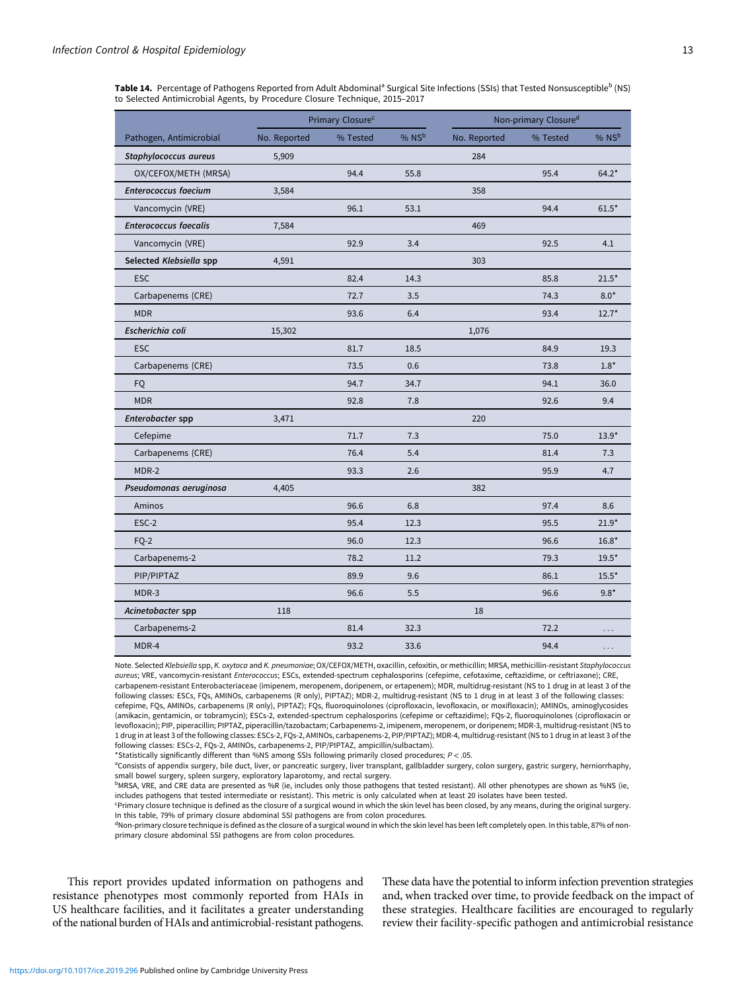<span id="page-12-0"></span>Table 14. Percentage of Pathogens Reported from Adult Abdominal<sup>a</sup> Surgical Site Infections (SSIs) that Tested Nonsusceptible<sup>b</sup> (NS) to Selected Antimicrobial Agents, by Procedure Closure Technique, 2015–2017

|                              |              | Primary Closure <sup>c</sup> |       |              | Non-primary Closure <sup>d</sup> |                     |
|------------------------------|--------------|------------------------------|-------|--------------|----------------------------------|---------------------|
| Pathogen, Antimicrobial      | No. Reported | % Tested                     | % NSb | No. Reported | % Tested                         | $%$ NS <sup>b</sup> |
| Staphylococcus aureus        | 5,909        |                              |       | 284          |                                  |                     |
| OX/CEFOX/METH (MRSA)         |              | 94.4                         | 55.8  |              | 95.4                             | $64.2*$             |
| <b>Enterococcus faecium</b>  | 3,584        |                              |       | 358          |                                  |                     |
| Vancomycin (VRE)             |              | 96.1                         | 53.1  |              | 94.4                             | $61.5*$             |
| <b>Enterococcus faecalis</b> | 7,584        |                              |       | 469          |                                  |                     |
| Vancomycin (VRE)             |              | 92.9                         | 3.4   |              | 92.5                             | 4.1                 |
| Selected Klebsiella spp      | 4,591        |                              |       | 303          |                                  |                     |
| <b>ESC</b>                   |              | 82.4                         | 14.3  |              | 85.8                             | $21.5*$             |
| Carbapenems (CRE)            |              | 72.7                         | 3.5   |              | 74.3                             | $8.0*$              |
| <b>MDR</b>                   |              | 93.6                         | 6.4   |              | 93.4                             | $12.7*$             |
| Escherichia coli             | 15,302       |                              |       | 1,076        |                                  |                     |
| <b>ESC</b>                   |              | 81.7                         | 18.5  |              | 84.9                             | 19.3                |
| Carbapenems (CRE)            |              | 73.5                         | 0.6   |              | 73.8                             | $1.8*$              |
| FQ                           |              | 94.7                         | 34.7  |              | 94.1                             | 36.0                |
| <b>MDR</b>                   |              | 92.8                         | 7.8   |              | 92.6                             | 9.4                 |
| Enterobacter spp             | 3,471        |                              |       | 220          |                                  |                     |
| Cefepime                     |              | 71.7                         | 7.3   |              | 75.0                             | $13.9*$             |
| Carbapenems (CRE)            |              | 76.4                         | 5.4   |              | 81.4                             | 7.3                 |
| MDR-2                        |              | 93.3                         | 2.6   |              | 95.9                             | 4.7                 |
| Pseudomonas aeruginosa       | 4,405        |                              |       | 382          |                                  |                     |
| Aminos                       |              | 96.6                         | 6.8   |              | 97.4                             | 8.6                 |
| ESC-2                        |              | 95.4                         | 12.3  |              | 95.5                             | $21.9*$             |
| FQ-2                         |              | 96.0                         | 12.3  |              | 96.6                             | $16.8*$             |
| Carbapenems-2                |              | 78.2                         | 11.2  |              | 79.3                             | $19.5*$             |
| PIP/PIPTAZ                   |              | 89.9                         | 9.6   |              | 86.1                             | $15.5*$             |
| MDR-3                        |              | 96.6                         | 5.5   |              | 96.6                             | $9.8*$              |
| Acinetobacter spp            | 118          |                              |       | 18           |                                  |                     |
| Carbapenems-2                |              | 81.4                         | 32.3  |              | 72.2                             | .                   |
| MDR-4                        |              | 93.2                         | 33.6  |              | 94.4                             | .                   |

Note. Selected Klebsiella spp, K. oxytoca and K. pneumoniae; OX/CEFOX/METH, oxacillin, cefoxitin, or methicillin; MRSA, methicillin-resistant Staphylococcus aureus; VRE, vancomycin-resistant Enterococcus; ESCs, extended-spectrum cephalosporins (cefepime, cefotaxime, ceftazidime, or ceftriaxone); CRE, carbapenem-resistant Enterobacteriaceae (imipenem, meropenem, doripenem, or ertapenem); MDR, multidrug-resistant (NS to 1 drug in at least 3 of the following classes: ESCs, FQs, AMINOs, carbapenems (R only), PIPTAZ); MDR-2, multidrug-resistant (NS to 1 drug in at least 3 of the following classes: cefepime, FQs, AMINOs, carbapenems (R only), PIPTAZ); FQs, fluoroquinolones (ciprofloxacin, levofloxacin, or moxifloxacin); AMINOs, aminoglycosides (amikacin, gentamicin, or tobramycin); ESCs-2, extended-spectrum cephalosporins (cefepime or ceftazidime); FQs-2, fluoroquinolones (ciprofloxacin or levofloxacin); PIP, piperacillin; PIPTAZ, piperacillin/tazobactam; Carbapenems-2, imipenem, meropenem, or doripenem; MDR-3, multidrug-resistant (NS to 1 drug in at least 3 of the following classes: ESCs-2, FQs-2, AMINOs, carbapenems-2, PIP/PIPTAZ); MDR-4, multidrug-resistant (NS to 1 drug in at least 3 of the following classes: ESCs-2, FQs-2, AMINOs, carbapenems-2, PIP/PIPTAZ, ampicillin/sulbactam).

\*Statistically significantly different than %NS among SSIs following primarily closed procedures; P < .05.

<sup>a</sup>Consists of appendix surgery, bile duct, liver, or pancreatic surgery, liver transplant, gallbladder surgery, colon surgery, gastric surgery, herniorrhaphy, small bowel surgery, spleen surgery, exploratory laparotomy, and rectal surgery.

bMRSA, VRE, and CRE data are presented as %R (ie, includes only those pathogens that tested resistant). All other phenotypes are shown as %NS (ie, includes pathogens that tested intermediate or resistant). This metric is only calculated when at least 20 isolates have been tested.

c Primary closure technique is defined as the closure of a surgical wound in which the skin level has been closed, by any means, during the original surgery. In this table, 79% of primary closure abdominal SSI pathogens are from colon procedures.

<sup>d</sup>Non-primary closure technique is defined as the closure of a surgical wound in which the skin level has been left completely open. In this table, 87% of nonprimary closure abdominal SSI pathogens are from colon procedures.

This report provides updated information on pathogens and resistance phenotypes most commonly reported from HAIs in US healthcare facilities, and it facilitates a greater understanding of the national burden of HAIs and antimicrobial-resistant pathogens.

These data have the potential to inform infection prevention strategies and, when tracked over time, to provide feedback on the impact of these strategies. Healthcare facilities are encouraged to regularly review their facility-specific pathogen and antimicrobial resistance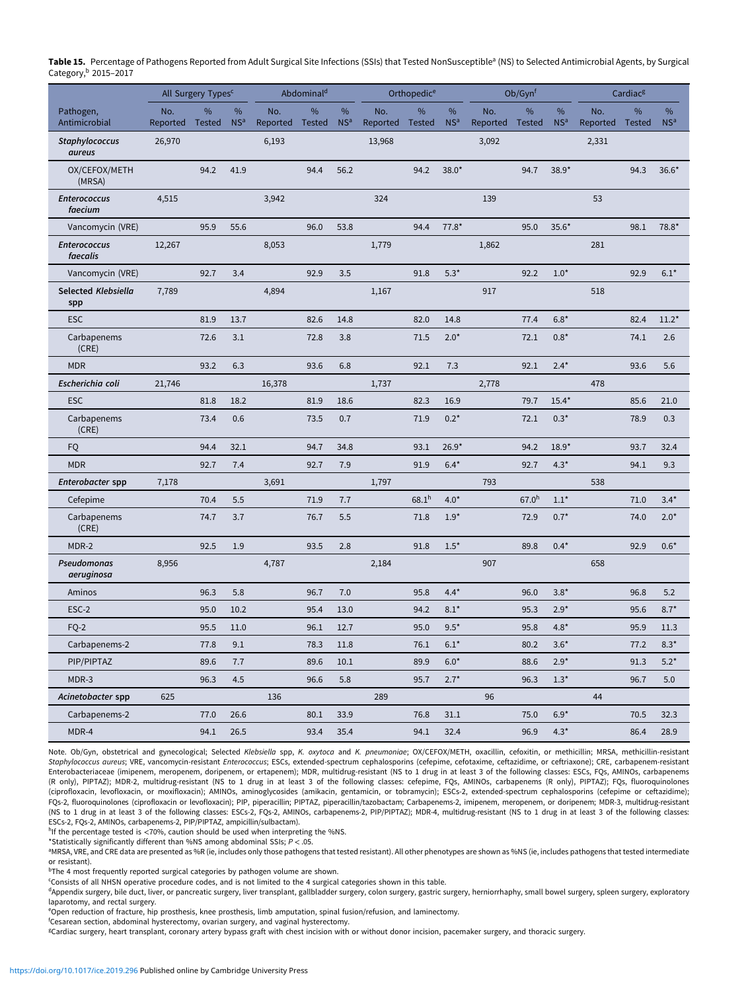<span id="page-13-0"></span>Table 15. Percentage of Pathogens Reported from Adult Surgical Site Infections (SSIs) that Tested NonSusceptible<sup>a</sup> (NS) to Selected Antimicrobial Agents, by Surgical Category,<sup>b</sup> 2015–2017

|                                 |                           | All Surgery Types <sup>c</sup> |                      |                        | Abdominal <sup>d</sup> |                      |                 | Orthopedic <sup>e</sup> |                         |                        | Ob/Gynf           |                      |                          | Cardiac <sup>g</sup> |                      |
|---------------------------------|---------------------------|--------------------------------|----------------------|------------------------|------------------------|----------------------|-----------------|-------------------------|-------------------------|------------------------|-------------------|----------------------|--------------------------|----------------------|----------------------|
| Pathogen,<br>Antimicrobial      | No.                       | $\%$                           | %<br>NS <sup>a</sup> | No.<br>Reported Tested | $\frac{9}{6}$          | %<br>NS <sup>a</sup> | No.<br>Reported | %<br><b>Tested</b>      | $\%$<br>NS <sup>a</sup> | No.<br>Reported Tested | $\frac{9}{6}$     | %<br>NS <sup>a</sup> | No.                      | %                    | %<br>NS <sup>a</sup> |
| <b>Staphylococcus</b>           | Reported Tested<br>26,970 |                                |                      | 6,193                  |                        |                      | 13,968          |                         |                         | 3,092                  |                   |                      | Reported Tested<br>2,331 |                      |                      |
| aureus                          |                           |                                |                      |                        |                        |                      |                 |                         |                         |                        |                   |                      |                          |                      |                      |
| OX/CEFOX/METH<br>(MRSA)         |                           | 94.2                           | 41.9                 |                        | 94.4                   | 56.2                 |                 | 94.2                    | $38.0*$                 |                        | 94.7              | $38.9*$              |                          | 94.3                 | $36.6*$              |
| <b>Enterococcus</b><br>faecium  | 4,515                     |                                |                      | 3,942                  |                        |                      | 324             |                         |                         | 139                    |                   |                      | 53                       |                      |                      |
| Vancomycin (VRE)                |                           | 95.9                           | 55.6                 |                        | 96.0                   | 53.8                 |                 | 94.4                    | $77.8*$                 |                        | 95.0              | $35.6*$              |                          | 98.1                 | 78.8*                |
| <b>Enterococcus</b><br>faecalis | 12,267                    |                                |                      | 8,053                  |                        |                      | 1,779           |                         |                         | 1,862                  |                   |                      | 281                      |                      |                      |
| Vancomycin (VRE)                |                           | 92.7                           | 3.4                  |                        | 92.9                   | 3.5                  |                 | 91.8                    | $5.3*$                  |                        | 92.2              | $1.0*$               |                          | 92.9                 | $6.1*$               |
| Selected Klebsiella<br>spp      | 7,789                     |                                |                      | 4,894                  |                        |                      | 1,167           |                         |                         | 917                    |                   |                      | 518                      |                      |                      |
| <b>ESC</b>                      |                           | 81.9                           | 13.7                 |                        | 82.6                   | 14.8                 |                 | 82.0                    | 14.8                    |                        | 77.4              | $6.8*$               |                          | 82.4                 | $11.2*$              |
| Carbapenems<br>(CRE)            |                           | 72.6                           | 3.1                  |                        | 72.8                   | 3.8                  |                 | 71.5                    | $2.0*$                  |                        | 72.1              | $0.8*$               |                          | 74.1                 | 2.6                  |
| <b>MDR</b>                      |                           | 93.2                           | 6.3                  |                        | 93.6                   | 6.8                  |                 | 92.1                    | 7.3                     |                        | 92.1              | $2.4*$               |                          | 93.6                 | 5.6                  |
| Escherichia coli                | 21,746                    |                                |                      | 16,378                 |                        |                      | 1,737           |                         |                         | 2,778                  |                   |                      | 478                      |                      |                      |
| <b>ESC</b>                      |                           | 81.8                           | 18.2                 |                        | 81.9                   | 18.6                 |                 | 82.3                    | 16.9                    |                        | 79.7              | $15.4*$              |                          | 85.6                 | 21.0                 |
| Carbapenems<br>(CRE)            |                           | 73.4                           | 0.6                  |                        | 73.5                   | 0.7                  |                 | 71.9                    | $0.2*$                  |                        | 72.1              | $0.3*$               |                          | 78.9                 | 0.3                  |
| FQ                              |                           | 94.4                           | 32.1                 |                        | 94.7                   | 34.8                 |                 | 93.1                    | $26.9*$                 |                        | 94.2              | $18.9*$              |                          | 93.7                 | 32.4                 |
| <b>MDR</b>                      |                           | 92.7                           | 7.4                  |                        | 92.7                   | 7.9                  |                 | 91.9                    | $6.4*$                  |                        | 92.7              | $4.3*$               |                          | 94.1                 | 9.3                  |
| Enterobacter spp                | 7,178                     |                                |                      | 3,691                  |                        |                      | 1,797           |                         |                         | 793                    |                   |                      | 538                      |                      |                      |
| Cefepime                        |                           | 70.4                           | 5.5                  |                        | 71.9                   | 7.7                  |                 | 68.1 <sup>h</sup>       | $4.0*$                  |                        | 67.0 <sup>h</sup> | $1.1*$               |                          | 71.0                 | $3.4*$               |
| Carbapenems<br>(CRE)            |                           | 74.7                           | 3.7                  |                        | 76.7                   | 5.5                  |                 | 71.8                    | $1.9*$                  |                        | 72.9              | $0.7*$               |                          | 74.0                 | $2.0*$               |
| MDR-2                           |                           | 92.5                           | 1.9                  |                        | 93.5                   | 2.8                  |                 | 91.8                    | $1.5*$                  |                        | 89.8              | $0.4*$               |                          | 92.9                 | $0.6*$               |
| Pseudomonas<br>aeruginosa       | 8,956                     |                                |                      | 4,787                  |                        |                      | 2,184           |                         |                         | 907                    |                   |                      | 658                      |                      |                      |
| Aminos                          |                           | 96.3                           | 5.8                  |                        | 96.7                   | 7.0                  |                 | 95.8                    | $4.4*$                  |                        | 96.0              | $3.8*$               |                          | 96.8                 | 5.2                  |
| ESC-2                           |                           | 95.0                           | 10.2                 |                        | 95.4                   | 13.0                 |                 | 94.2                    | $8.1*$                  |                        | 95.3              | $2.9*$               |                          | 95.6                 | $8.7*$               |
| FQ-2                            |                           | 95.5                           | 11.0                 |                        | 96.1                   | 12.7                 |                 | 95.0                    | $9.5*$                  |                        | 95.8              | $4.8*$               |                          | 95.9                 | 11.3                 |
| Carbapenems-2                   |                           | 77.8                           | 9.1                  |                        | 78.3                   | 11.8                 |                 | $76.1\,$                | $6.1*$                  |                        | 80.2              | $3.6*$               |                          | 77.2                 | $8.3*$               |
| PIP/PIPTAZ                      |                           | 89.6                           | 7.7                  |                        | 89.6                   | 10.1                 |                 | 89.9                    | $6.0*$                  |                        | 88.6              | $2.9*$               |                          | 91.3                 | $5.2*$               |
| MDR-3                           |                           | 96.3                           | 4.5                  |                        | 96.6                   | 5.8                  |                 | 95.7                    | $2.7*$                  |                        | 96.3              | $1.3*$               |                          | 96.7                 | 5.0                  |
| Acinetobacter spp               | 625                       |                                |                      | 136                    |                        |                      | 289             |                         |                         | 96                     |                   |                      | 44                       |                      |                      |
| Carbapenems-2                   |                           | 77.0                           | 26.6                 |                        | 80.1                   | 33.9                 |                 | 76.8                    | 31.1                    |                        | 75.0              | $6.9*$               |                          | 70.5                 | 32.3                 |
| MDR-4                           |                           | 94.1                           | 26.5                 |                        | 93.4                   | 35.4                 |                 | 94.1                    | 32.4                    |                        | 96.9              | $4.3*$               |                          | 86.4                 | 28.9                 |

Note. Ob/Gyn, obstetrical and gynecological; Selected Klebsiella spp, K. oxytoca and K. pneumoniae; OX/CEFOX/METH, oxacillin, cefoxitin, or methicillin; MRSA, methicillin-resistant Staphylococcus aureus; VRE, vancomycin-resistant Enterococcus; ESCs, extended-spectrum cephalosporins (cefepime, cefotaxime, ceftazidime, or ceftriaxone); CRE, carbapenem-resistant Enterobacteriaceae (imipenem, meropenem, doripenem, or ertapenem); MDR, multidrug-resistant (NS to 1 drug in at least 3 of the following classes: ESCs, FQs, AMINOs, carbapenems (R only), PIPTAZ); MDR-2, multidrug-resistant (NS to 1 drug in at least 3 of the following classes: cefepime, FQs, AMINOs, carbapenems (R only), PIPTAZ); FQs, fluoroquinolones (ciprofloxacin, levofloxacin, or moxifloxacin); AMINOs, aminoglycosides (amikacin, gentamicin, or tobramycin); ESCs-2, extended-spectrum cephalosporins (cefepime or ceftazidime); FQs-2, fluoroquinolones (ciprofloxacin or levofloxacin); PIP, piperacillin; PIPTAZ, piperacillin/tazobactam; Carbapenems-2, imipenem, meropenem, or doripenem; MDR-3, multidrug-resistant (NS to 1 drug in at least 3 of the following classes: ESCs-2, FQs-2, AMINOs, carbapenems-2, PIP/PIPTAZ); MDR-4, multidrug-resistant (NS to 1 drug in at least 3 of the following classes: ESCs-2, FQs-2, AMINOs, carbapenems-2, PIP/PIPTAZ, ampicillin/sulbactam).

hIf the percentage tested is <70%, caution should be used when interpreting the %NS.

\*Statistically significantly different than %NS among abdominal SSIs;  $P < 0.05$ .

<sup>a</sup>MRSA, VRE, and CRE data are presented as %R (ie, includes only those pathogens that tested resistant). All other phenotypes are shown as %NS (ie, includes pathogens that tested intermediate or resistant).

<sup>b</sup>The 4 most frequently reported surgical categories by pathogen volume are shown.

c Consists of all NHSN operative procedure codes, and is not limited to the 4 surgical categories shown in this table.

dAppendix surgery, bile duct, liver, or pancreatic surgery, liver transplant, gallbladder surgery, colon surgery, gastric surgery, herniorrhaphy, small bowel surgery, spleen surgery, exploratory laparotomy, and rectal surgery.

e Open reduction of fracture, hip prosthesis, knee prosthesis, limb amputation, spinal fusion/refusion, and laminectomy.

f Cesarean section, abdominal hysterectomy, ovarian surgery, and vaginal hysterectomy.

g Cardiac surgery, heart transplant, coronary artery bypass graft with chest incision with or without donor incision, pacemaker surgery, and thoracic surgery.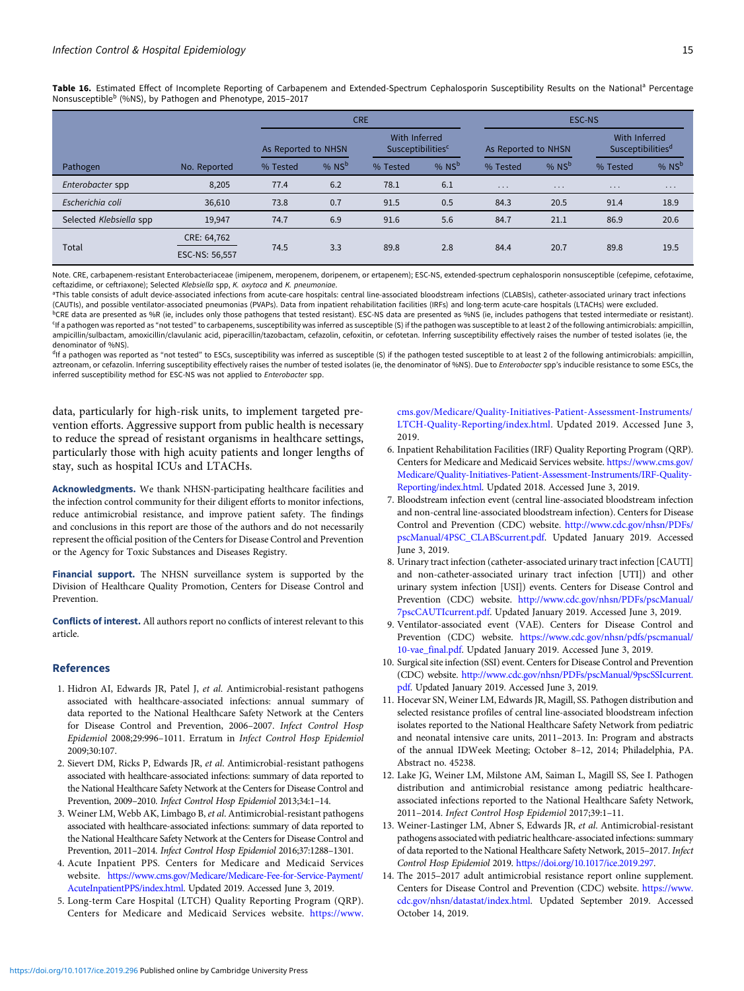<span id="page-14-0"></span>Table 16. Estimated Effect of Incomplete Reporting of Carbapenem and Extended-Spectrum Cephalosporin Susceptibility Results on the National<sup>a</sup> Percentage Nonsusceptible<sup>b</sup> (%NS), by Pathogen and Phenotype, 2015–2017

|                         |                               |                     |         | <b>CRE</b>                                           |         | ESC-NS              |                         |                                                |          |  |  |
|-------------------------|-------------------------------|---------------------|---------|------------------------------------------------------|---------|---------------------|-------------------------|------------------------------------------------|----------|--|--|
|                         |                               | As Reported to NHSN |         | With Inferred<br><b>Susceptibilities<sup>c</sup></b> |         | As Reported to NHSN |                         | With Inferred<br>Susceptibilities <sup>d</sup> |          |  |  |
| Pathogen                | No. Reported                  | % Tested            | % $NSb$ | % Tested                                             | % $NSb$ | % Tested            | % $NSb$                 | % Tested                                       | % $NSb$  |  |  |
| Enterobacter spp        | 8,205                         | 77.4                | 6.2     | 78.1                                                 | 6.1     | $\cdots$            | $\cdot$ $\cdot$ $\cdot$ | $\cdots$                                       | $\cdots$ |  |  |
| Escherichia coli        | 36,610                        | 73.8                | 0.7     | 91.5                                                 | 0.5     | 84.3                | 20.5                    | 91.4                                           | 18.9     |  |  |
| Selected Klebsiella spp | 19,947                        | 74.7                | 6.9     | 91.6                                                 | 5.6     | 84.7                | 21.1                    | 86.9                                           | 20.6     |  |  |
| Total                   | CRE: 64,762<br>ESC-NS: 56,557 | 74.5                | 3.3     | 89.8                                                 | 2.8     | 84.4                | 20.7                    | 89.8                                           | 19.5     |  |  |

Note. CRE, carbapenem-resistant Enterobacteriaceae (imipenem, meropenem, doripenem, or ertapenem); ESC-NS, extended-spectrum cephalosporin nonsusceptible (cefepime, cefotaxime, ceftazidime, or ceftriaxone); Selected Klebsiella spp, K. oxytoca and K. pneumoniae.

aThis table consists of adult device-associated infections from acute-care hospitals: central line-associated bloodstream infections (CLABSIs), catheter-associated urinary tract infections (CAUTIs), and possible ventilator-associated pneumonias (PVAPs). Data from inpatient rehabilitation facilities (IRFs) and long-term acute-care hospitals (LTACHs) were excluded. <sup>b</sup>CRE data are presented as %R (ie, includes only those pathogens that tested resistant). ESC-NS data are presented as %NS (ie, includes pathogens that tested intermediate or resistant). c If a pathogen was reported as "not tested" to carbapenems, susceptibility was inferred as susceptible (S) if the pathogen was susceptible to at least 2 of the following antimicrobials: ampicillin, ampicillin/sulbactam, amoxicillin/clavulanic acid, piperacillin/tazobactam, cefazolin, cefoxitin, or cefotetan. Inferring susceptibility effectively raises the number of tested isolates (ie, the denominator of %NS).

<sup>d</sup>If a pathogen was reported as "not tested" to ESCs, susceptibility was inferred as susceptible (S) if the pathogen tested susceptible to at least 2 of the following antimicrobials: ampicilin, aztreonam, or cefazolin. Inferring susceptibility effectively raises the number of tested isolates (ie, the denominator of %NS). Due to Enterobacter spp's inducible resistance to some ESCs, the inferred susceptibility method for ESC-NS was not applied to Enterobacter spp.

data, particularly for high-risk units, to implement targeted prevention efforts. Aggressive support from public health is necessary to reduce the spread of resistant organisms in healthcare settings, particularly those with high acuity patients and longer lengths of stay, such as hospital ICUs and LTACHs.

Acknowledgments. We thank NHSN-participating healthcare facilities and the infection control community for their diligent efforts to monitor infections, reduce antimicrobial resistance, and improve patient safety. The findings and conclusions in this report are those of the authors and do not necessarily represent the official position of the Centers for Disease Control and Prevention or the Agency for Toxic Substances and Diseases Registry.

Financial support. The NHSN surveillance system is supported by the Division of Healthcare Quality Promotion, Centers for Disease Control and Prevention.

Conflicts of interest. All authors report no conflicts of interest relevant to this article.

#### References

- 1. Hidron AI, Edwards JR, Patel J, et al. Antimicrobial-resistant pathogens associated with healthcare-associated infections: annual summary of data reported to the National Healthcare Safety Network at the Centers for Disease Control and Prevention, 2006–2007. Infect Control Hosp Epidemiol 2008;29:996–1011. Erratum in Infect Control Hosp Epidemiol 2009;30:107.
- 2. Sievert DM, Ricks P, Edwards JR, et al. Antimicrobial-resistant pathogens associated with healthcare-associated infections: summary of data reported to the National Healthcare Safety Network at the Centers for Disease Control and Prevention, 2009–2010. Infect Control Hosp Epidemiol 2013;34:1–14.
- 3. Weiner LM, Webb AK, Limbago B, et al. Antimicrobial-resistant pathogens associated with healthcare-associated infections: summary of data reported to the National Healthcare Safety Network at the Centers for Disease Control and Prevention, 2011–2014. Infect Control Hosp Epidemiol 2016;37:1288–1301.
- 4. Acute Inpatient PPS. Centers for Medicare and Medicaid Services website. [https://www.cms.gov/Medicare/Medicare-Fee-for-Service-Payment/](https://www.cms.gov/Medicare/Medicare-Fee-for-Service-Payment/AcuteInpatientPPS/index.html) [AcuteInpatientPPS/index.html.](https://www.cms.gov/Medicare/Medicare-Fee-for-Service-Payment/AcuteInpatientPPS/index.html) Updated 2019. Accessed June 3, 2019.
- 5. Long-term Care Hospital (LTCH) Quality Reporting Program (QRP). Centers for Medicare and Medicaid Services website. [https://www.](https://www.cms.gov/Medicare/Quality-Initiatives-Patient-Assessment-Instruments/LTCH-Quality-Reporting/index.html)

[cms.gov/Medicare/Quality-Initiatives-Patient-Assessment-Instruments/](https://www.cms.gov/Medicare/Quality-Initiatives-Patient-Assessment-Instruments/LTCH-Quality-Reporting/index.html) [LTCH-Quality-Reporting/index.html.](https://www.cms.gov/Medicare/Quality-Initiatives-Patient-Assessment-Instruments/LTCH-Quality-Reporting/index.html) Updated 2019. Accessed June 3, 2019.

- 6. Inpatient Rehabilitation Facilities (IRF) Quality Reporting Program (QRP). Centers for Medicare and Medicaid Services website. [https://www.cms.gov/](https://www.cms.gov/Medicare/Quality-Initiatives-Patient-Assessment-Instruments/IRF-Quality-Reporting/index.html) [Medicare/Quality-Initiatives-Patient-Assessment-Instruments/IRF-Quality-](https://www.cms.gov/Medicare/Quality-Initiatives-Patient-Assessment-Instruments/IRF-Quality-Reporting/index.html)[Reporting/index.html.](https://www.cms.gov/Medicare/Quality-Initiatives-Patient-Assessment-Instruments/IRF-Quality-Reporting/index.html) Updated 2018. Accessed June 3, 2019.
- 7. Bloodstream infection event (central line-associated bloodstream infection and non-central line-associated bloodstream infection). Centers for Disease Control and Prevention (CDC) website. [http://www.cdc.gov/nhsn/PDFs/](http://www.cdc.gov/nhsn/PDFs/pscManual/4PSC_CLABScurrent.pdf) [pscManual/4PSC\\_CLABScurrent.pdf.](http://www.cdc.gov/nhsn/PDFs/pscManual/4PSC_CLABScurrent.pdf) Updated January 2019. Accessed June 3, 2019.
- 8. Urinary tract infection (catheter-associated urinary tract infection [CAUTI] and non-catheter-associated urinary tract infection [UTI]) and other urinary system infection [USI]) events. Centers for Disease Control and Prevention (CDC) website. [http://www.cdc.gov/nhsn/PDFs/pscManual/](http://www.cdc.gov/nhsn/PDFs/pscManual/7pscCAUTIcurrent.pdf) [7pscCAUTIcurrent.pdf](http://www.cdc.gov/nhsn/PDFs/pscManual/7pscCAUTIcurrent.pdf). Updated January 2019. Accessed June 3, 2019.
- 9. Ventilator-associated event (VAE). Centers for Disease Control and Prevention (CDC) website. [https://www.cdc.gov/nhsn/pdfs/pscmanual/](https://www.cdc.gov/nhsn/pdfs/pscmanual/10-vae_final.pdf) [10-vae\\_final.pdf.](https://www.cdc.gov/nhsn/pdfs/pscmanual/10-vae_final.pdf) Updated January 2019. Accessed June 3, 2019.
- 10. Surgical site infection (SSI) event. Centers for Disease Control and Prevention (CDC) website. [http://www.cdc.gov/nhsn/PDFs/pscManual/9pscSSIcurrent.](http://www.cdc.gov/nhsn/PDFs/pscManual/9pscSSIcurrent.pdf) [pdf](http://www.cdc.gov/nhsn/PDFs/pscManual/9pscSSIcurrent.pdf). Updated January 2019. Accessed June 3, 2019.
- 11. Hocevar SN, Weiner LM, Edwards JR, Magill, SS. Pathogen distribution and selected resistance profiles of central line-associated bloodstream infection isolates reported to the National Healthcare Safety Network from pediatric and neonatal intensive care units, 2011–2013. In: Program and abstracts of the annual IDWeek Meeting; October 8–12, 2014; Philadelphia, PA. Abstract no. 45238.
- 12. Lake JG, Weiner LM, Milstone AM, Saiman L, Magill SS, See I. Pathogen distribution and antimicrobial resistance among pediatric healthcareassociated infections reported to the National Healthcare Safety Network, 2011–2014. Infect Control Hosp Epidemiol 2017;39:1–11.
- 13. Weiner-Lastinger LM, Abner S, Edwards JR, et al. Antimicrobial-resistant pathogens associated with pediatric healthcare-associated infections: summary of data reported to the National Healthcare Safety Network, 2015–2017. Infect Control Hosp Epidemiol 2019. <https://doi.org/10.1017/ice.2019.297>.
- 14. The 2015–2017 adult antimicrobial resistance report online supplement. Centers for Disease Control and Prevention (CDC) website. [https://www.](https://www.cdc.gov/nhsn/datastat/index.html) [cdc.gov/nhsn/datastat/index.html.](https://www.cdc.gov/nhsn/datastat/index.html) Updated September 2019. Accessed October 14, 2019.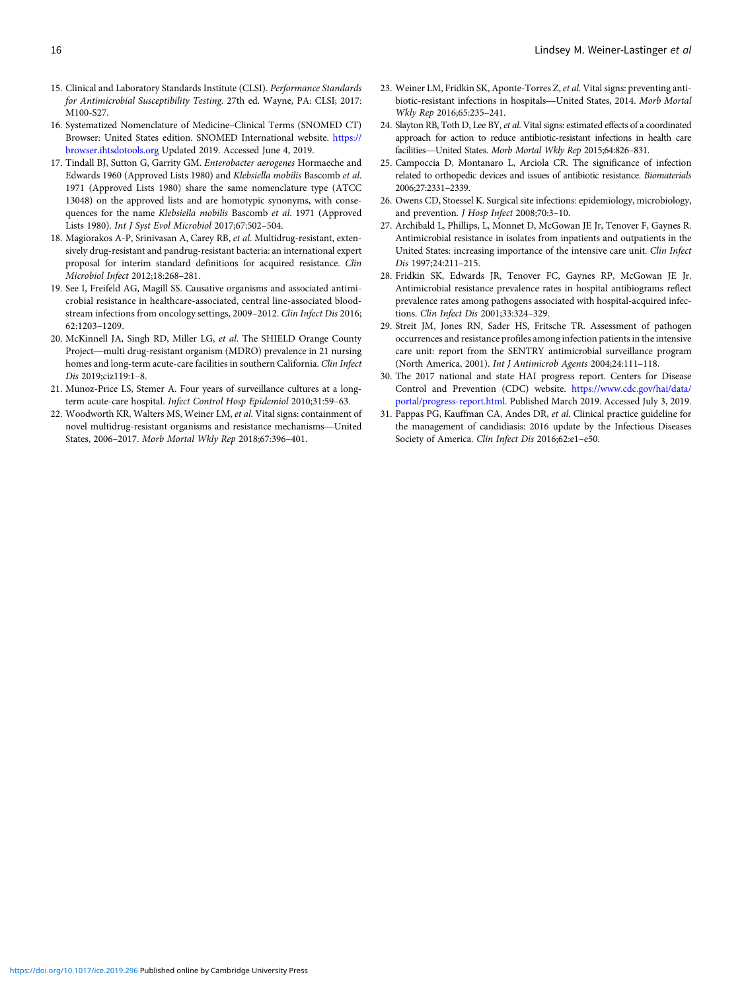- <span id="page-15-0"></span>15. Clinical and Laboratory Standards Institute (CLSI). Performance Standards for Antimicrobial Susceptibility Testing. 27th ed. Wayne, PA: CLSI; 2017: M100-S27.
- 16. Systematized Nomenclature of Medicine–Clinical Terms (SNOMED CT) Browser: United States edition. SNOMED International website. [https://](https://browser.ihtsdotools.org) [browser.ihtsdotools.org](https://browser.ihtsdotools.org) Updated 2019. Accessed June 4, 2019.
- 17. Tindall BJ, Sutton G, Garrity GM. Enterobacter aerogenes Hormaeche and Edwards 1960 (Approved Lists 1980) and Klebsiella mobilis Bascomb et al. 1971 (Approved Lists 1980) share the same nomenclature type (ATCC 13048) on the approved lists and are homotypic synonyms, with consequences for the name Klebsiella mobilis Bascomb et al. 1971 (Approved Lists 1980). Int J Syst Evol Microbiol 2017;67:502–504.
- 18. Magiorakos A-P, Srinivasan A, Carey RB, et al. Multidrug-resistant, extensively drug-resistant and pandrug-resistant bacteria: an international expert proposal for interim standard definitions for acquired resistance. Clin Microbiol Infect 2012;18:268–281.
- 19. See I, Freifeld AG, Magill SS. Causative organisms and associated antimicrobial resistance in healthcare-associated, central line-associated bloodstream infections from oncology settings, 2009–2012. *Clin Infect Dis* 2016;<br>62:1203–1209.<br>McKinnell JA, Singh RD, Miller LG, *et al*. The SHIELD Orange County<br>Project—multi drug-resistant organism (MDRO) prevalence in 21 62:1203–1209.
- 20. McKinnell JA, Singh RD, Miller LG, *et al.* The SHIELD Orange County Project—multi drug-resistant organism (MDRO) prevalence in 21 nursing homes and long-term acute-care facilities in southern California. Clin Infect Dis 2019;ciz119:1–8.
- term acute-care hospital. Infect Control Hosp Epidemiol 2010;31:59–63.
- 21. Munoz-Price LS, Stemer A. Four years of surveillance cultures at a long-<br>term acute-care hospital. *Infect Control Hosp Epidemiol* 2010;31:59–63.<br>22. Woodworth KR, Walters MS, Weiner LM, *et al*. Vital signs: containme 22. Woodworth KR, Walters MS, Weiner LM, et al. Vital signs: containment of States, 2006–2017. Morb Mortal Wkly Rep 2018;67:396–401.
- 23. Weiner LM, Fridkin SK, Aponte-Torres Z, et al. Vital signs: preventing antibiotic-resistant infections in hospitals—United States, 2014. Morb Mortal Wkly Rep 2016;65:235–241.
- 24. Slayton RB, Toth D, Lee BY, *et al*. Vital signs: estimated effects of a coordinated approach for action to reduce antibiotic-resistant infections in health care Wkly Rep 2016;65:235-241.<br>Slayton RB, Toth D, Lee BY, et al. Vital signs: estimated effects of a capproach for action to reduce antibiotic-resistant infections in facilities—United States. Morb Mortal Wkly Rep 2015;64:826-
- 25. Campoccia D, Montanaro L, Arciola CR. The significance of infection related to orthopedic devices and issues of antibiotic resistance. Biomaterials 2006;27:2331–2339.
- 26. Owens CD, Stoessel K. Surgical site infections: epidemiology, microbiology, and prevention. J Hosp Infect 2008;70:3–10.
- 27. Archibald L, Phillips, L, Monnet D, McGowan JE Jr, Tenover F, Gaynes R. Antimicrobial resistance in isolates from inpatients and outpatients in the United States: increasing importance of the intensive care unit. Clin Infect Dis 1997;24:211–215.
- 28. Fridkin SK, Edwards JR, Tenover FC, Gaynes RP, McGowan JE Jr. Antimicrobial resistance prevalence rates in hospital antibiograms reflect prevalence rates among pathogens associated with hospital-acquired infections. Clin Infect Dis 2001;33:324–329.
- 29. Streit JM, Jones RN, Sader HS, Fritsche TR. Assessment of pathogen occurrences and resistance profiles among infection patients in the intensive care unit: report from the SENTRY antimicrobial surveillance program (North America, 2001). Int J Antimicrob Agents 2004;24:111–118.
- 30. The 2017 national and state HAI progress report. Centers for Disease Control and Prevention (CDC) website. [https://www.cdc.gov/hai/data/](https://www.cdc.gov/hai/data/portal/progress-report.html) [portal/progress-report.html](https://www.cdc.gov/hai/data/portal/progress-report.html). Published March 2019. Accessed July 3, 2019.
- 31. Pappas PG, Kauffman CA, Andes DR, et al. Clinical practice guideline for the management of candidiasis: 2016 update by the Infectious Diseases Society of America. Clin Infect Dis 2016;62:e1–e50.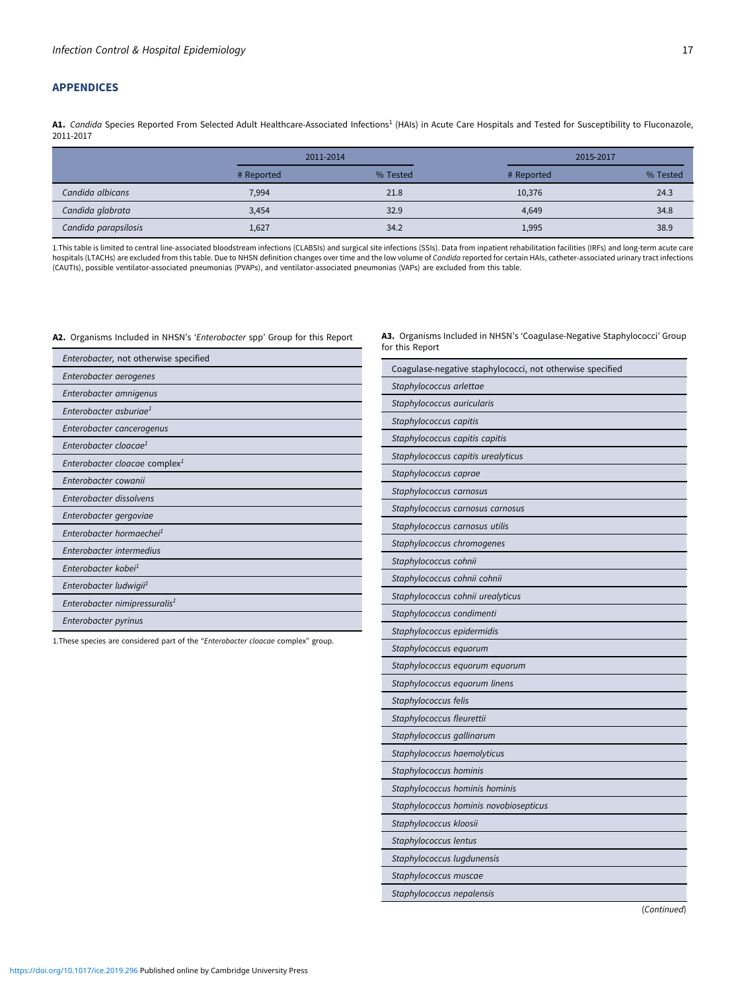# <span id="page-16-0"></span>APPENDICES

A1. Candida Species Reported From Selected Adult Healthcare-Associated Infections<sup>1</sup> (HAIs) in Acute Care Hospitals and Tested for Susceptibility to Fluconazole, 2011-2017

|                      | 2011-2014  |          | 2015-2017  |          |  |  |  |
|----------------------|------------|----------|------------|----------|--|--|--|
|                      | # Reported | % Tested | # Reported | % Tested |  |  |  |
| Candida albicans     | 7,994      | 21.8     | 10,376     | 24.3     |  |  |  |
| Candida glabrata     | 3.454      | 32.9     | 4.649      | 34.8     |  |  |  |
| Candida parapsilosis | 1,627      | 34.2     | 1,995      | 38.9     |  |  |  |

1.This table is limited to central line-associated bloodstream infections (CLABSIs) and surgical site infections (SSIs). Data from inpatient rehabilitation facilities (IRFs) and long-term acute care<br>hospitals (LTACHs) are (CAUTIs), possible ventilator-associated pneumonias (PVAPs), and ventilator-associated pneumonias (VAPs) are excluded from this table.

#### A2. Organisms Included in NHSN's 'Enterobacter spp' Group for this Report

| Enterobacter, not otherwise specified     |
|-------------------------------------------|
| Enterobacter aerogenes                    |
| Enterobacter amnigenus                    |
| Enterobacter asburiae <sup>1</sup>        |
| Enterobacter cancerogenus                 |
| Enterobacter cloacae <sup>1</sup>         |
| Enterobacter cloacae complex <sup>1</sup> |
| Enterobacter cowanii                      |
| Enterobacter dissolvens                   |
| Enterobacter gergoviae                    |
| Enterobacter hormaechei <sup>1</sup>      |
| Enterobacter intermedius                  |
| Enterobacter kobei <sup>1</sup>           |
| Enterobacter ludwigii <sup>1</sup>        |
| Enterobacter nimipressuralis <sup>1</sup> |
| Enterobacter pyrinus                      |

1. These species are considered part of the "Enterobacter cloacae complex" group.

A3. Organisms Included in NHSN's 'Coagulase-Negative Staphylococci' Group for this Report

| Coagulase-negative staphylococci, not otherwise specified |
|-----------------------------------------------------------|
| Staphylococcus arlettae                                   |
| Staphylococcus auricularis                                |
| Staphylococcus capitis                                    |
| Staphylococcus capitis capitis                            |
| Staphylococcus capitis urealyticus                        |
| Staphylococcus caprae                                     |
| Staphylococcus carnosus                                   |
| Staphylococcus carnosus carnosus                          |
| Staphylococcus carnosus utilis                            |
| Staphylococcus chromogenes                                |
| Staphylococcus cohnii                                     |
| Staphylococcus cohnii cohnii                              |
| Staphylococcus cohnii urealyticus                         |
| Staphylococcus condimenti                                 |
| Staphylococcus epidermidis                                |
| Staphylococcus equorum                                    |
| Staphylococcus equorum equorum                            |
| Staphylococcus equorum linens                             |
| Staphylococcus felis                                      |
| Staphylococcus fleurettii                                 |
| Staphylococcus gallinarum                                 |
| Staphylococcus haemolyticus                               |
| Staphylococcus hominis                                    |
| Staphylococcus hominis hominis                            |
| Staphylococcus hominis novobiosepticus                    |
| Staphylococcus kloosii                                    |
| Staphylococcus lentus                                     |
| Staphylococcus lugdunensis                                |
| Staphylococcus muscae                                     |
| Staphylococcus nepalensis                                 |

(Continued)